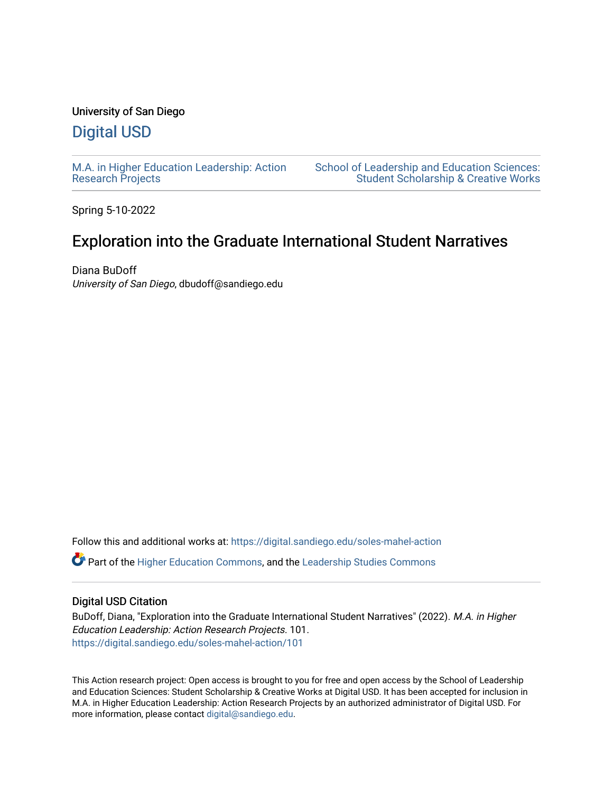# University of San Diego

# [Digital USD](https://digital.sandiego.edu/)

[M.A. in Higher Education Leadership: Action](https://digital.sandiego.edu/soles-mahel-action) [Research Projects](https://digital.sandiego.edu/soles-mahel-action) 

[School of Leadership and Education Sciences:](https://digital.sandiego.edu/soles-student)  [Student Scholarship & Creative Works](https://digital.sandiego.edu/soles-student) 

Spring 5-10-2022

# Exploration into the Graduate International Student Narratives

Diana BuDoff University of San Diego, dbudoff@sandiego.edu

Follow this and additional works at: [https://digital.sandiego.edu/soles-mahel-action](https://digital.sandiego.edu/soles-mahel-action?utm_source=digital.sandiego.edu%2Fsoles-mahel-action%2F101&utm_medium=PDF&utm_campaign=PDFCoverPages)

Part of the [Higher Education Commons,](http://network.bepress.com/hgg/discipline/1245?utm_source=digital.sandiego.edu%2Fsoles-mahel-action%2F101&utm_medium=PDF&utm_campaign=PDFCoverPages) and the [Leadership Studies Commons](http://network.bepress.com/hgg/discipline/1250?utm_source=digital.sandiego.edu%2Fsoles-mahel-action%2F101&utm_medium=PDF&utm_campaign=PDFCoverPages)

#### Digital USD Citation

BuDoff, Diana, "Exploration into the Graduate International Student Narratives" (2022). M.A. in Higher Education Leadership: Action Research Projects. 101. [https://digital.sandiego.edu/soles-mahel-action/101](https://digital.sandiego.edu/soles-mahel-action/101?utm_source=digital.sandiego.edu%2Fsoles-mahel-action%2F101&utm_medium=PDF&utm_campaign=PDFCoverPages)

This Action research project: Open access is brought to you for free and open access by the School of Leadership and Education Sciences: Student Scholarship & Creative Works at Digital USD. It has been accepted for inclusion in M.A. in Higher Education Leadership: Action Research Projects by an authorized administrator of Digital USD. For more information, please contact [digital@sandiego.edu.](mailto:digital@sandiego.edu)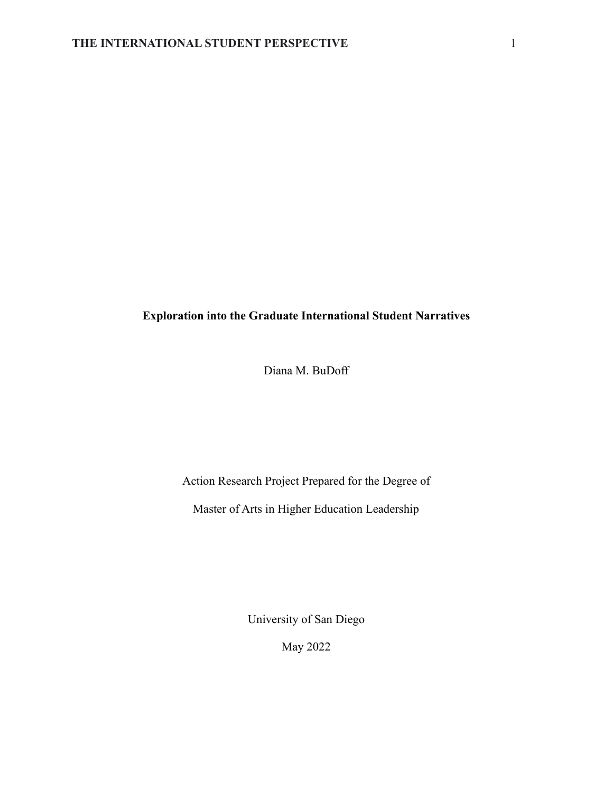# **Exploration into the Graduate International Student Narratives**

Diana M. BuDoff

Action Research Project Prepared for the Degree of

Master of Arts in Higher Education Leadership

University of San Diego

May 2022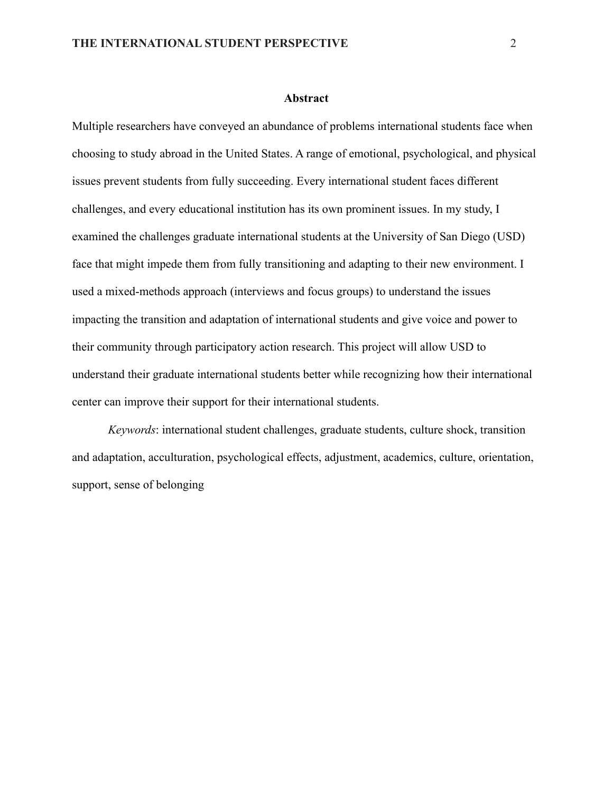#### **Abstract**

Multiple researchers have conveyed an abundance of problems international students face when choosing to study abroad in the United States. A range of emotional, psychological, and physical issues prevent students from fully succeeding. Every international student faces different challenges, and every educational institution has its own prominent issues. In my study, I examined the challenges graduate international students at the University of San Diego (USD) face that might impede them from fully transitioning and adapting to their new environment. I used a mixed-methods approach (interviews and focus groups) to understand the issues impacting the transition and adaptation of international students and give voice and power to their community through participatory action research. This project will allow USD to understand their graduate international students better while recognizing how their international center can improve their support for their international students.

*Keywords*: international student challenges, graduate students, culture shock, transition and adaptation, acculturation, psychological effects, adjustment, academics, culture, orientation, support, sense of belonging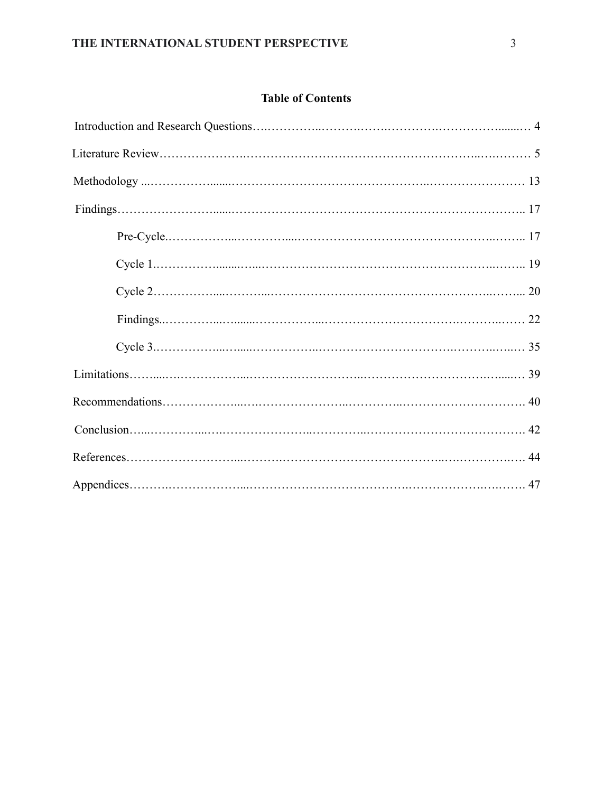# **Table of Contents**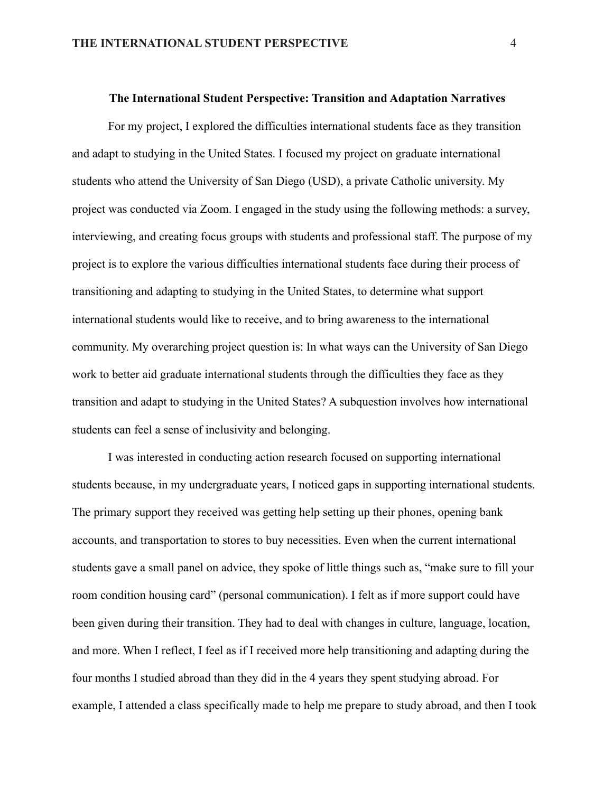#### **The International Student Perspective: Transition and Adaptation Narratives**

For my project, I explored the difficulties international students face as they transition and adapt to studying in the United States. I focused my project on graduate international students who attend the University of San Diego (USD), a private Catholic university. My project was conducted via Zoom. I engaged in the study using the following methods: a survey, interviewing, and creating focus groups with students and professional staff. The purpose of my project is to explore the various difficulties international students face during their process of transitioning and adapting to studying in the United States, to determine what support international students would like to receive, and to bring awareness to the international community. My overarching project question is: In what ways can the University of San Diego work to better aid graduate international students through the difficulties they face as they transition and adapt to studying in the United States? A subquestion involves how international students can feel a sense of inclusivity and belonging.

I was interested in conducting action research focused on supporting international students because, in my undergraduate years, I noticed gaps in supporting international students. The primary support they received was getting help setting up their phones, opening bank accounts, and transportation to stores to buy necessities. Even when the current international students gave a small panel on advice, they spoke of little things such as, "make sure to fill your room condition housing card" (personal communication). I felt as if more support could have been given during their transition. They had to deal with changes in culture, language, location, and more. When I reflect, I feel as if I received more help transitioning and adapting during the four months I studied abroad than they did in the 4 years they spent studying abroad. For example, I attended a class specifically made to help me prepare to study abroad, and then I took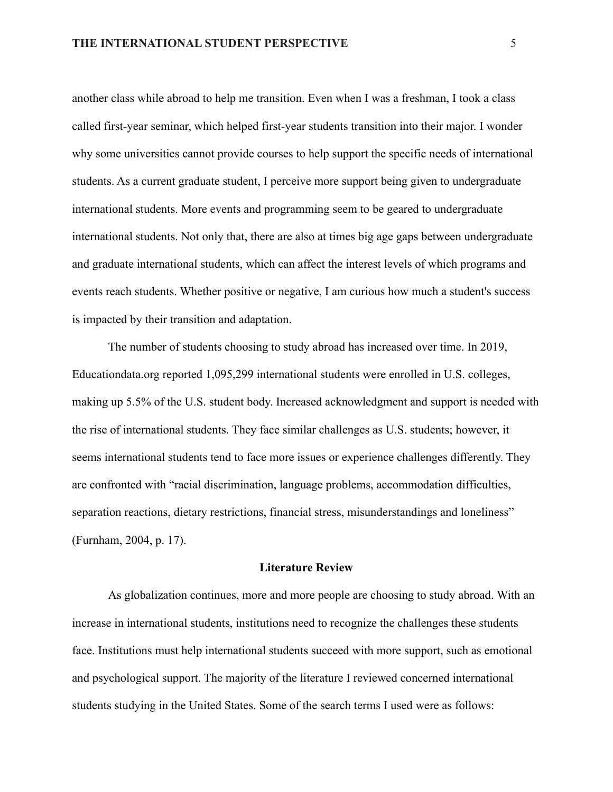another class while abroad to help me transition. Even when I was a freshman, I took a class called first-year seminar, which helped first-year students transition into their major. I wonder why some universities cannot provide courses to help support the specific needs of international students. As a current graduate student, I perceive more support being given to undergraduate international students. More events and programming seem to be geared to undergraduate international students. Not only that, there are also at times big age gaps between undergraduate and graduate international students, which can affect the interest levels of which programs and events reach students. Whether positive or negative, I am curious how much a student's success is impacted by their transition and adaptation.

The number of students choosing to study abroad has increased over time. In 2019, Educationdata.org reported 1,095,299 international students were enrolled in U.S. colleges, making up 5.5% of the U.S. student body. Increased acknowledgment and support is needed with the rise of international students. They face similar challenges as U.S. students; however, it seems international students tend to face more issues or experience challenges differently. They are confronted with "racial discrimination, language problems, accommodation difficulties, separation reactions, dietary restrictions, financial stress, misunderstandings and loneliness" (Furnham, 2004, p. 17).

### **Literature Review**

As globalization continues, more and more people are choosing to study abroad. With an increase in international students, institutions need to recognize the challenges these students face. Institutions must help international students succeed with more support, such as emotional and psychological support. The majority of the literature I reviewed concerned international students studying in the United States. Some of the search terms I used were as follows: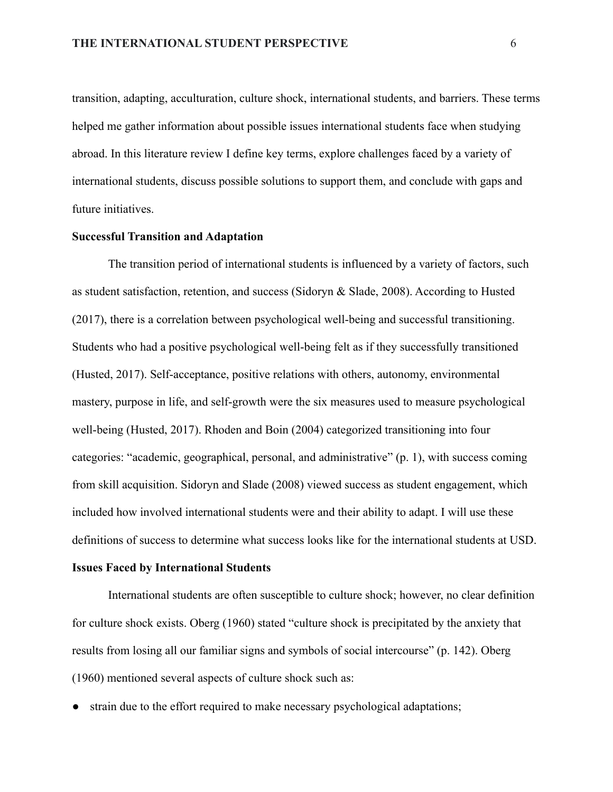transition, adapting, acculturation, culture shock, international students, and barriers. These terms helped me gather information about possible issues international students face when studying abroad. In this literature review I define key terms, explore challenges faced by a variety of international students, discuss possible solutions to support them, and conclude with gaps and future initiatives.

### **Successful Transition and Adaptation**

The transition period of international students is influenced by a variety of factors, such as student satisfaction, retention, and success (Sidoryn & Slade, 2008). According to Husted (2017), there is a correlation between psychological well-being and successful transitioning. Students who had a positive psychological well-being felt as if they successfully transitioned (Husted, 2017). Self-acceptance, positive relations with others, autonomy, environmental mastery, purpose in life, and self-growth were the six measures used to measure psychological well-being (Husted, 2017). Rhoden and Boin (2004) categorized transitioning into four categories: "academic, geographical, personal, and administrative" (p. 1), with success coming from skill acquisition. Sidoryn and Slade (2008) viewed success as student engagement, which included how involved international students were and their ability to adapt. I will use these definitions of success to determine what success looks like for the international students at USD.

#### **Issues Faced by International Students**

International students are often susceptible to culture shock; however, no clear definition for culture shock exists. Oberg (1960) stated "culture shock is precipitated by the anxiety that results from losing all our familiar signs and symbols of social intercourse" (p. 142). Oberg (1960) mentioned several aspects of culture shock such as:

• strain due to the effort required to make necessary psychological adaptations;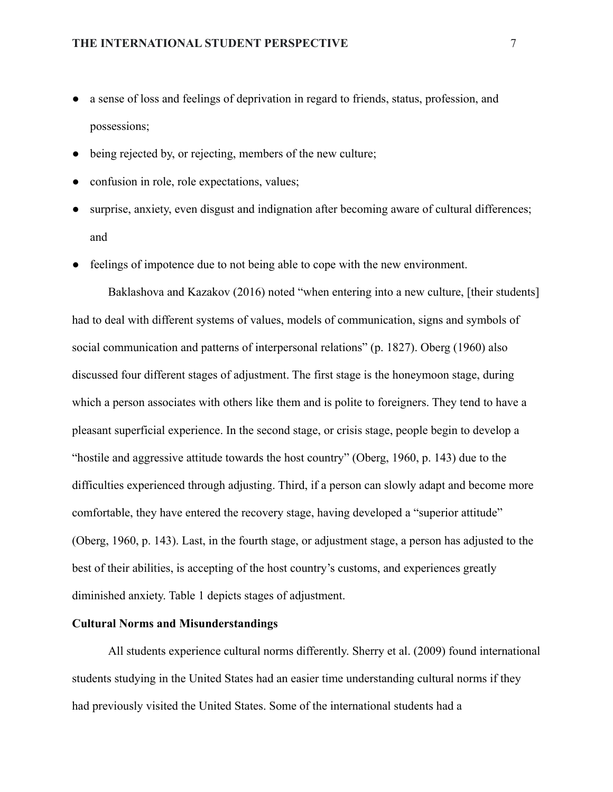- a sense of loss and feelings of deprivation in regard to friends, status, profession, and possessions;
- being rejected by, or rejecting, members of the new culture;
- confusion in role, role expectations, values;
- surprise, anxiety, even disgust and indignation after becoming aware of cultural differences; and
- feelings of impotence due to not being able to cope with the new environment.

Baklashova and Kazakov (2016) noted "when entering into a new culture, [their students] had to deal with different systems of values, models of communication, signs and symbols of social communication and patterns of interpersonal relations" (p. 1827). Oberg (1960) also discussed four different stages of adjustment. The first stage is the honeymoon stage, during which a person associates with others like them and is polite to foreigners. They tend to have a pleasant superficial experience. In the second stage, or crisis stage, people begin to develop a "hostile and aggressive attitude towards the host country" (Oberg, 1960, p. 143) due to the difficulties experienced through adjusting. Third, if a person can slowly adapt and become more comfortable, they have entered the recovery stage, having developed a "superior attitude" (Oberg, 1960, p. 143). Last, in the fourth stage, or adjustment stage, a person has adjusted to the best of their abilities, is accepting of the host country's customs, and experiences greatly diminished anxiety. Table 1 depicts stages of adjustment.

### **Cultural Norms and Misunderstandings**

All students experience cultural norms differently. Sherry et al. (2009) found international students studying in the United States had an easier time understanding cultural norms if they had previously visited the United States. Some of the international students had a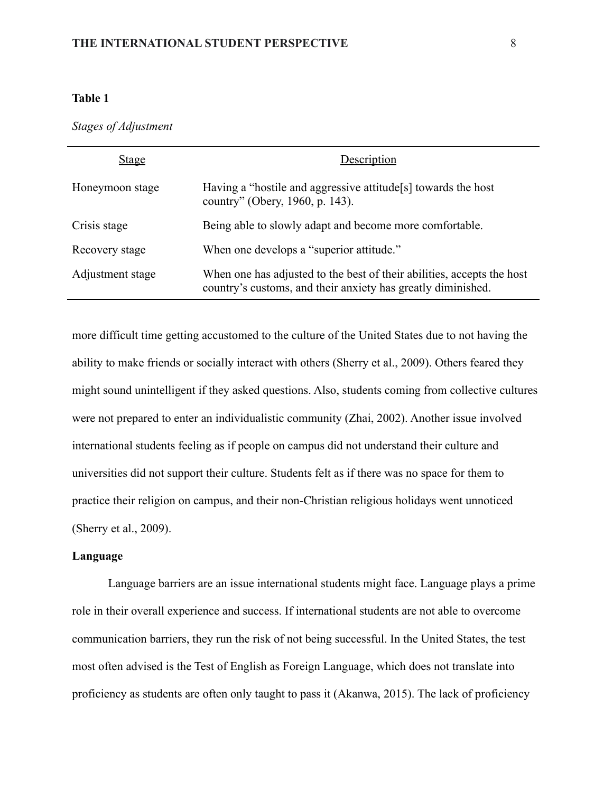### **Table 1**

*Stages of Adjustment*

| <b>Stage</b>     | Description                                                                                                                            |
|------------------|----------------------------------------------------------------------------------------------------------------------------------------|
| Honeymoon stage  | Having a "hostile and aggressive attitude <sup>[s]</sup> towards the host<br>country" (Obery, 1960, p. 143).                           |
| Crisis stage     | Being able to slowly adapt and become more comfortable.                                                                                |
| Recovery stage   | When one develops a "superior attitude."                                                                                               |
| Adjustment stage | When one has adjusted to the best of their abilities, accepts the host<br>country's customs, and their anxiety has greatly diminished. |

more difficult time getting accustomed to the culture of the United States due to not having the ability to make friends or socially interact with others (Sherry et al., 2009). Others feared they might sound unintelligent if they asked questions. Also, students coming from collective cultures were not prepared to enter an individualistic community (Zhai, 2002). Another issue involved international students feeling as if people on campus did not understand their culture and universities did not support their culture. Students felt as if there was no space for them to practice their religion on campus, and their non-Christian religious holidays went unnoticed (Sherry et al., 2009).

### **Language**

Language barriers are an issue international students might face. Language plays a prime role in their overall experience and success. If international students are not able to overcome communication barriers, they run the risk of not being successful. In the United States, the test most often advised is the Test of English as Foreign Language, which does not translate into proficiency as students are often only taught to pass it (Akanwa, 2015). The lack of proficiency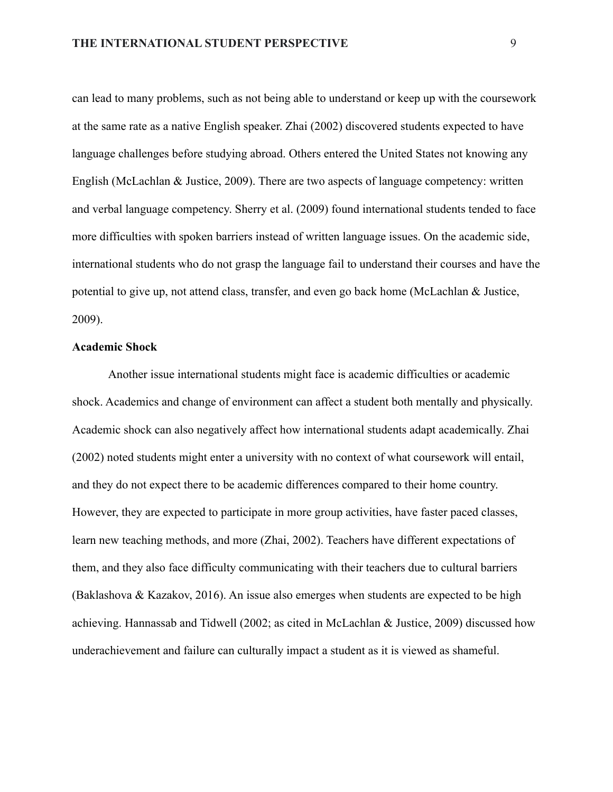can lead to many problems, such as not being able to understand or keep up with the coursework at the same rate as a native English speaker. Zhai (2002) discovered students expected to have language challenges before studying abroad. Others entered the United States not knowing any English (McLachlan & Justice, 2009). There are two aspects of language competency: written and verbal language competency. Sherry et al. (2009) found international students tended to face more difficulties with spoken barriers instead of written language issues. On the academic side, international students who do not grasp the language fail to understand their courses and have the potential to give up, not attend class, transfer, and even go back home (McLachlan & Justice, 2009).

### **Academic Shock**

Another issue international students might face is academic difficulties or academic shock. Academics and change of environment can affect a student both mentally and physically. Academic shock can also negatively affect how international students adapt academically. Zhai (2002) noted students might enter a university with no context of what coursework will entail, and they do not expect there to be academic differences compared to their home country. However, they are expected to participate in more group activities, have faster paced classes, learn new teaching methods, and more (Zhai, 2002). Teachers have different expectations of them, and they also face difficulty communicating with their teachers due to cultural barriers (Baklashova & Kazakov, 2016). An issue also emerges when students are expected to be high achieving. Hannassab and Tidwell (2002; as cited in McLachlan & Justice, 2009) discussed how underachievement and failure can culturally impact a student as it is viewed as shameful.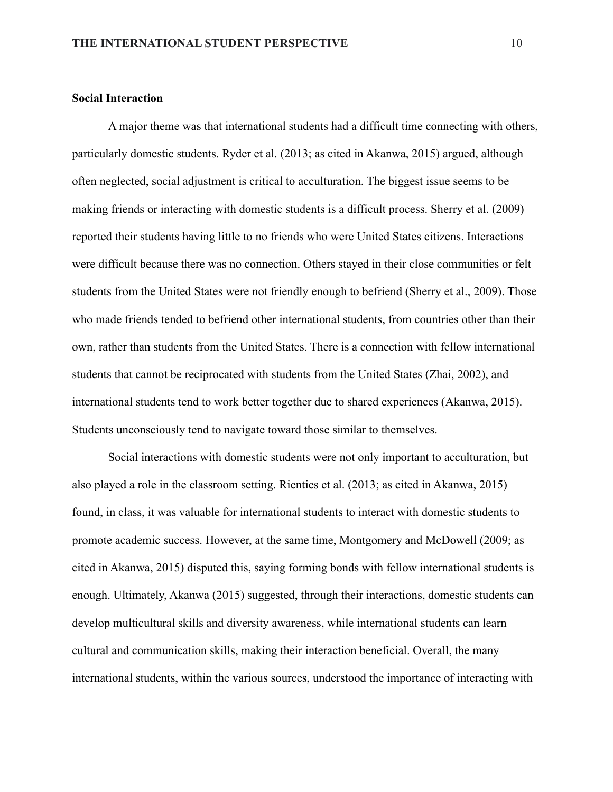### **Social Interaction**

A major theme was that international students had a difficult time connecting with others, particularly domestic students. Ryder et al. (2013; as cited in Akanwa, 2015) argued, although often neglected, social adjustment is critical to acculturation. The biggest issue seems to be making friends or interacting with domestic students is a difficult process. Sherry et al. (2009) reported their students having little to no friends who were United States citizens. Interactions were difficult because there was no connection. Others stayed in their close communities or felt students from the United States were not friendly enough to befriend (Sherry et al., 2009). Those who made friends tended to befriend other international students, from countries other than their own, rather than students from the United States. There is a connection with fellow international students that cannot be reciprocated with students from the United States (Zhai, 2002), and international students tend to work better together due to shared experiences (Akanwa, 2015). Students unconsciously tend to navigate toward those similar to themselves.

Social interactions with domestic students were not only important to acculturation, but also played a role in the classroom setting. Rienties et al. (2013; as cited in Akanwa, 2015) found, in class, it was valuable for international students to interact with domestic students to promote academic success. However, at the same time, Montgomery and McDowell (2009; as cited in Akanwa, 2015) disputed this, saying forming bonds with fellow international students is enough. Ultimately, Akanwa (2015) suggested, through their interactions, domestic students can develop multicultural skills and diversity awareness, while international students can learn cultural and communication skills, making their interaction beneficial. Overall, the many international students, within the various sources, understood the importance of interacting with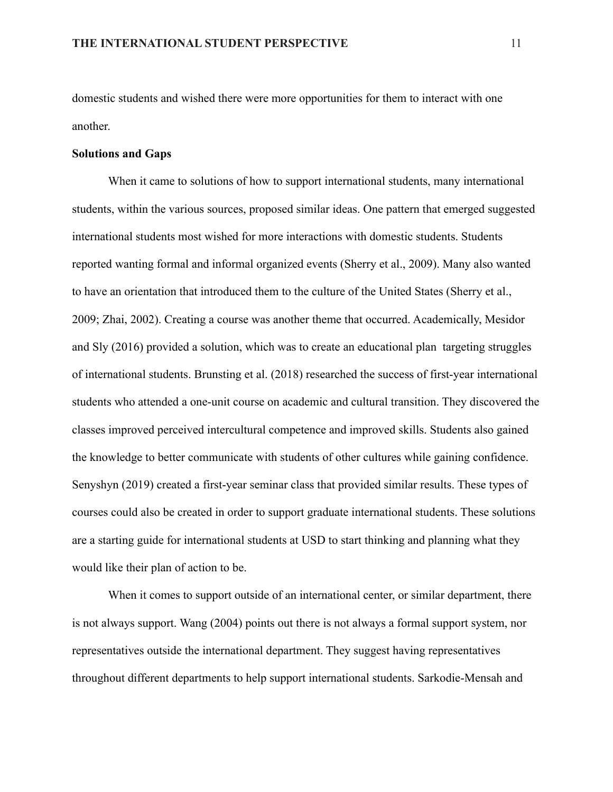domestic students and wished there were more opportunities for them to interact with one another.

#### **Solutions and Gaps**

When it came to solutions of how to support international students, many international students, within the various sources, proposed similar ideas. One pattern that emerged suggested international students most wished for more interactions with domestic students. Students reported wanting formal and informal organized events (Sherry et al., 2009). Many also wanted to have an orientation that introduced them to the culture of the United States (Sherry et al., 2009; Zhai, 2002). Creating a course was another theme that occurred. Academically, Mesidor and Sly (2016) provided a solution, which was to create an educational plan targeting struggles of international students. Brunsting et al. (2018) researched the success of first-year international students who attended a one-unit course on academic and cultural transition. They discovered the classes improved perceived intercultural competence and improved skills. Students also gained the knowledge to better communicate with students of other cultures while gaining confidence. Senyshyn (2019) created a first-year seminar class that provided similar results. These types of courses could also be created in order to support graduate international students. These solutions are a starting guide for international students at USD to start thinking and planning what they would like their plan of action to be.

When it comes to support outside of an international center, or similar department, there is not always support. Wang (2004) points out there is not always a formal support system, nor representatives outside the international department. They suggest having representatives throughout different departments to help support international students. Sarkodie-Mensah and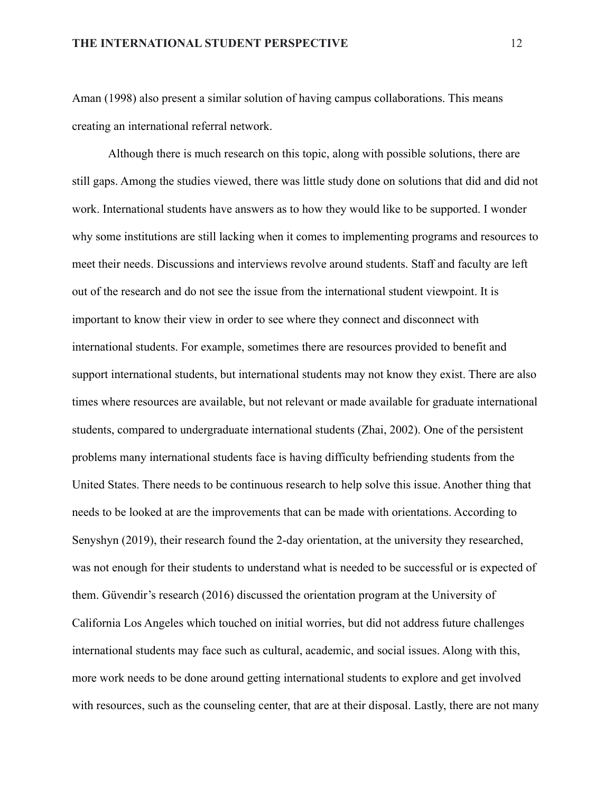Aman (1998) also present a similar solution of having campus collaborations. This means creating an international referral network.

Although there is much research on this topic, along with possible solutions, there are still gaps. Among the studies viewed, there was little study done on solutions that did and did not work. International students have answers as to how they would like to be supported. I wonder why some institutions are still lacking when it comes to implementing programs and resources to meet their needs. Discussions and interviews revolve around students. Staff and faculty are left out of the research and do not see the issue from the international student viewpoint. It is important to know their view in order to see where they connect and disconnect with international students. For example, sometimes there are resources provided to benefit and support international students, but international students may not know they exist. There are also times where resources are available, but not relevant or made available for graduate international students, compared to undergraduate international students (Zhai, 2002). One of the persistent problems many international students face is having difficulty befriending students from the United States. There needs to be continuous research to help solve this issue. Another thing that needs to be looked at are the improvements that can be made with orientations. According to Senyshyn (2019), their research found the 2-day orientation, at the university they researched, was not enough for their students to understand what is needed to be successful or is expected of them. Güvendir's research (2016) discussed the orientation program at the University of California Los Angeles which touched on initial worries, but did not address future challenges international students may face such as cultural, academic, and social issues. Along with this, more work needs to be done around getting international students to explore and get involved with resources, such as the counseling center, that are at their disposal. Lastly, there are not many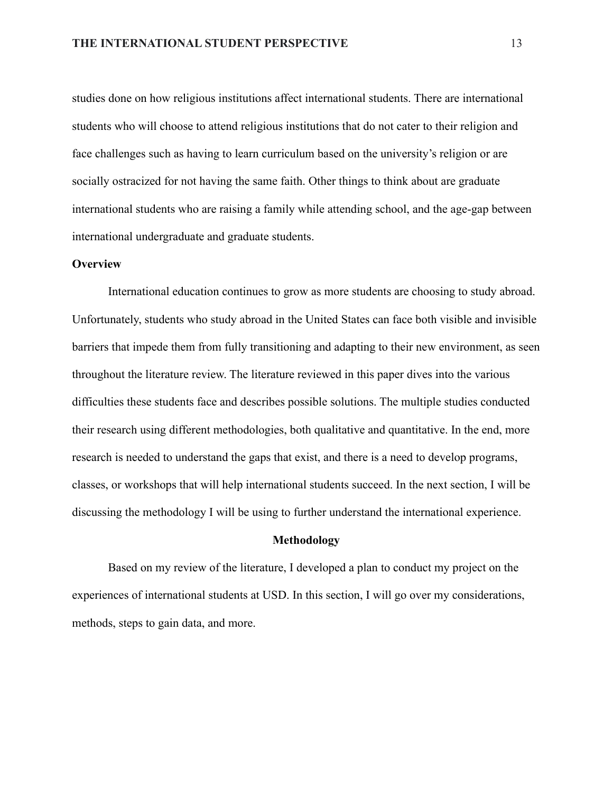studies done on how religious institutions affect international students. There are international students who will choose to attend religious institutions that do not cater to their religion and face challenges such as having to learn curriculum based on the university's religion or are socially ostracized for not having the same faith. Other things to think about are graduate international students who are raising a family while attending school, and the age-gap between international undergraduate and graduate students.

#### **Overview**

International education continues to grow as more students are choosing to study abroad. Unfortunately, students who study abroad in the United States can face both visible and invisible barriers that impede them from fully transitioning and adapting to their new environment, as seen throughout the literature review. The literature reviewed in this paper dives into the various difficulties these students face and describes possible solutions. The multiple studies conducted their research using different methodologies, both qualitative and quantitative. In the end, more research is needed to understand the gaps that exist, and there is a need to develop programs, classes, or workshops that will help international students succeed. In the next section, I will be discussing the methodology I will be using to further understand the international experience.

#### **Methodology**

Based on my review of the literature, I developed a plan to conduct my project on the experiences of international students at USD. In this section, I will go over my considerations, methods, steps to gain data, and more.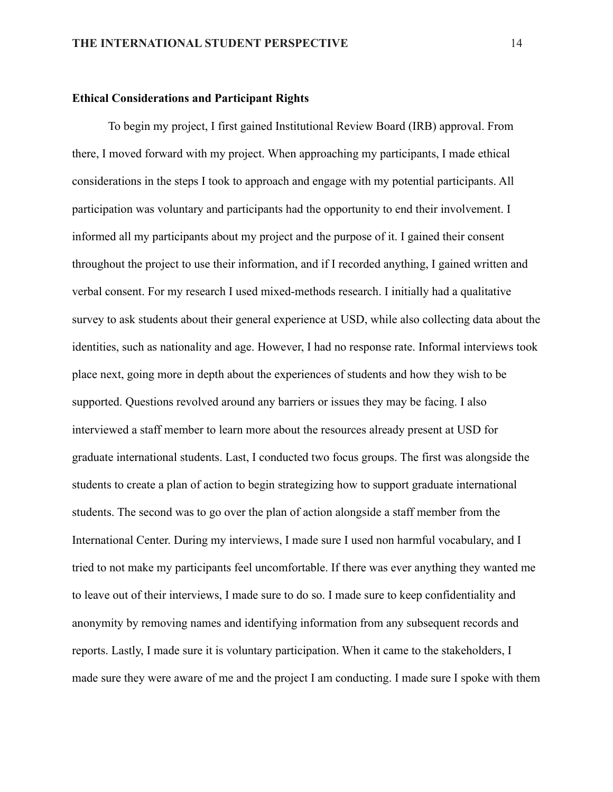### **Ethical Considerations and Participant Rights**

To begin my project, I first gained Institutional Review Board (IRB) approval. From there, I moved forward with my project. When approaching my participants, I made ethical considerations in the steps I took to approach and engage with my potential participants. All participation was voluntary and participants had the opportunity to end their involvement. I informed all my participants about my project and the purpose of it. I gained their consent throughout the project to use their information, and if I recorded anything, I gained written and verbal consent. For my research I used mixed-methods research. I initially had a qualitative survey to ask students about their general experience at USD, while also collecting data about the identities, such as nationality and age. However, I had no response rate. Informal interviews took place next, going more in depth about the experiences of students and how they wish to be supported. Questions revolved around any barriers or issues they may be facing. I also interviewed a staff member to learn more about the resources already present at USD for graduate international students. Last, I conducted two focus groups. The first was alongside the students to create a plan of action to begin strategizing how to support graduate international students. The second was to go over the plan of action alongside a staff member from the International Center. During my interviews, I made sure I used non harmful vocabulary, and I tried to not make my participants feel uncomfortable. If there was ever anything they wanted me to leave out of their interviews, I made sure to do so. I made sure to keep confidentiality and anonymity by removing names and identifying information from any subsequent records and reports. Lastly, I made sure it is voluntary participation. When it came to the stakeholders, I made sure they were aware of me and the project I am conducting. I made sure I spoke with them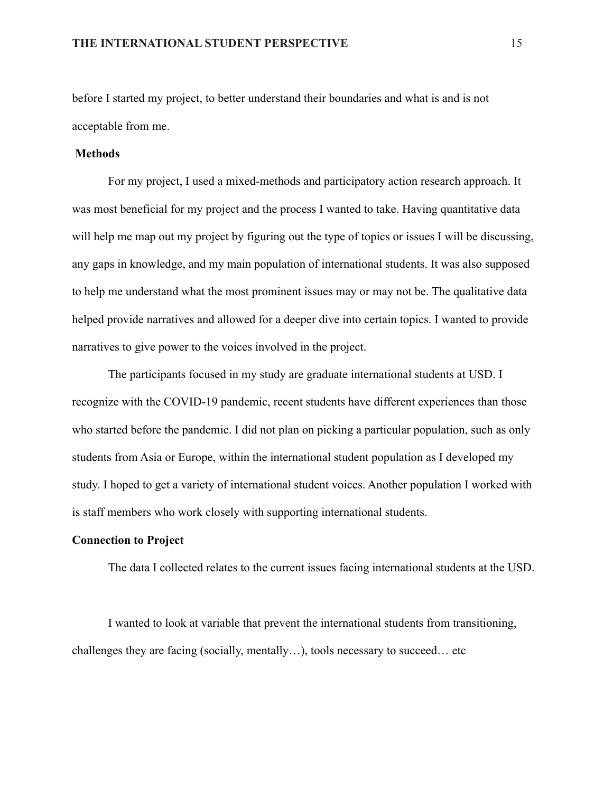before I started my project, to better understand their boundaries and what is and is not acceptable from me.

### **Methods**

For my project, I used a mixed-methods and participatory action research approach. It was most beneficial for my project and the process I wanted to take. Having quantitative data will help me map out my project by figuring out the type of topics or issues I will be discussing, any gaps in knowledge, and my main population of international students. It was also supposed to help me understand what the most prominent issues may or may not be. The qualitative data helped provide narratives and allowed for a deeper dive into certain topics. I wanted to provide narratives to give power to the voices involved in the project.

The participants focused in my study are graduate international students at USD. I recognize with the COVID-19 pandemic, recent students have different experiences than those who started before the pandemic. I did not plan on picking a particular population, such as only students from Asia or Europe, within the international student population as I developed my study. I hoped to get a variety of international student voices. Another population I worked with is staff members who work closely with supporting international students.

### **Connection to Project**

The data I collected relates to the current issues facing international students at the USD.

I wanted to look at variable that prevent the international students from transitioning, challenges they are facing (socially, mentally…), tools necessary to succeed… etc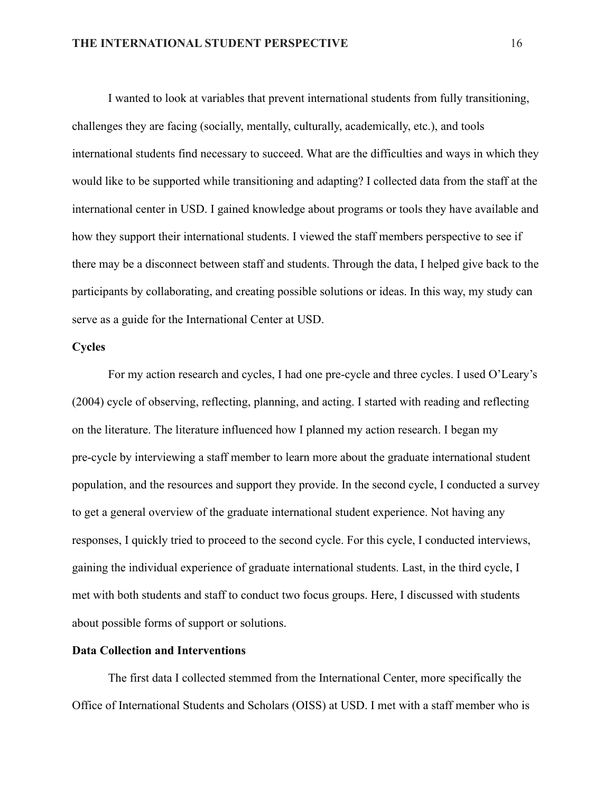I wanted to look at variables that prevent international students from fully transitioning, challenges they are facing (socially, mentally, culturally, academically, etc.), and tools international students find necessary to succeed. What are the difficulties and ways in which they would like to be supported while transitioning and adapting? I collected data from the staff at the international center in USD. I gained knowledge about programs or tools they have available and how they support their international students. I viewed the staff members perspective to see if there may be a disconnect between staff and students. Through the data, I helped give back to the participants by collaborating, and creating possible solutions or ideas. In this way, my study can serve as a guide for the International Center at USD.

### **Cycles**

For my action research and cycles, I had one pre-cycle and three cycles. I used O'Leary's (2004) cycle of observing, reflecting, planning, and acting. I started with reading and reflecting on the literature. The literature influenced how I planned my action research. I began my pre-cycle by interviewing a staff member to learn more about the graduate international student population, and the resources and support they provide. In the second cycle, I conducted a survey to get a general overview of the graduate international student experience. Not having any responses, I quickly tried to proceed to the second cycle. For this cycle, I conducted interviews, gaining the individual experience of graduate international students. Last, in the third cycle, I met with both students and staff to conduct two focus groups. Here, I discussed with students about possible forms of support or solutions.

#### **Data Collection and Interventions**

The first data I collected stemmed from the International Center, more specifically the Office of International Students and Scholars (OISS) at USD. I met with a staff member who is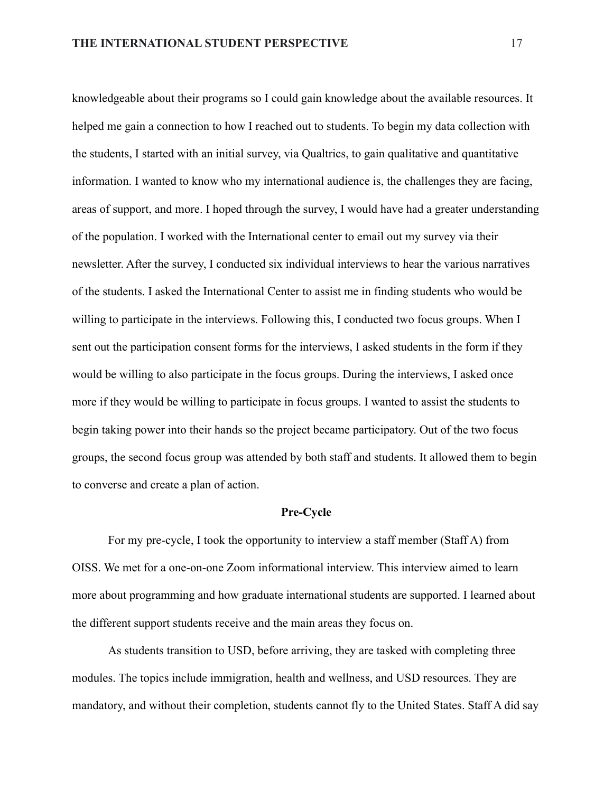knowledgeable about their programs so I could gain knowledge about the available resources. It helped me gain a connection to how I reached out to students. To begin my data collection with the students, I started with an initial survey, via Qualtrics, to gain qualitative and quantitative information. I wanted to know who my international audience is, the challenges they are facing, areas of support, and more. I hoped through the survey, I would have had a greater understanding of the population. I worked with the International center to email out my survey via their newsletter. After the survey, I conducted six individual interviews to hear the various narratives of the students. I asked the International Center to assist me in finding students who would be willing to participate in the interviews. Following this, I conducted two focus groups. When I sent out the participation consent forms for the interviews, I asked students in the form if they would be willing to also participate in the focus groups. During the interviews, I asked once more if they would be willing to participate in focus groups. I wanted to assist the students to begin taking power into their hands so the project became participatory. Out of the two focus groups, the second focus group was attended by both staff and students. It allowed them to begin to converse and create a plan of action.

#### **Pre-Cycle**

For my pre-cycle, I took the opportunity to interview a staff member (Staff A) from OISS. We met for a one-on-one Zoom informational interview. This interview aimed to learn more about programming and how graduate international students are supported. I learned about the different support students receive and the main areas they focus on.

As students transition to USD, before arriving, they are tasked with completing three modules. The topics include immigration, health and wellness, and USD resources. They are mandatory, and without their completion, students cannot fly to the United States. Staff A did say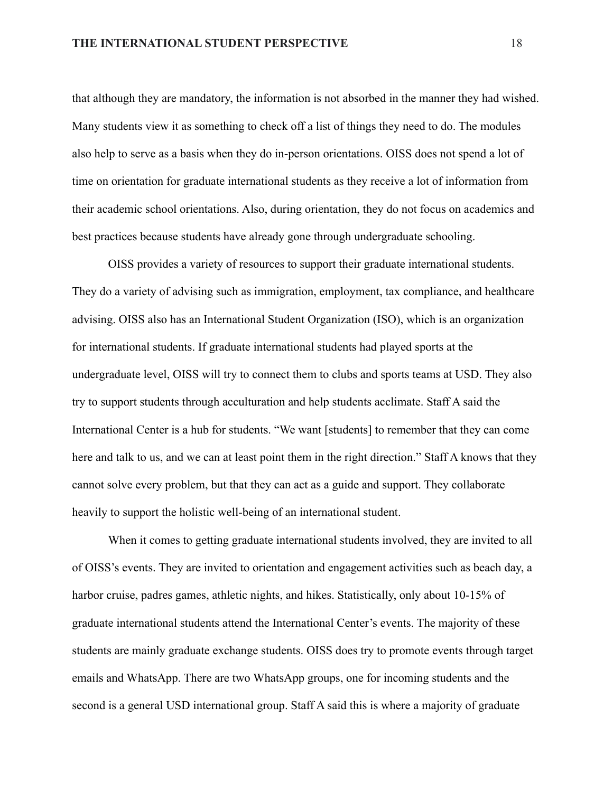that although they are mandatory, the information is not absorbed in the manner they had wished. Many students view it as something to check off a list of things they need to do. The modules also help to serve as a basis when they do in-person orientations. OISS does not spend a lot of time on orientation for graduate international students as they receive a lot of information from their academic school orientations. Also, during orientation, they do not focus on academics and best practices because students have already gone through undergraduate schooling.

OISS provides a variety of resources to support their graduate international students. They do a variety of advising such as immigration, employment, tax compliance, and healthcare advising. OISS also has an International Student Organization (ISO), which is an organization for international students. If graduate international students had played sports at the undergraduate level, OISS will try to connect them to clubs and sports teams at USD. They also try to support students through acculturation and help students acclimate. Staff A said the International Center is a hub for students. "We want [students] to remember that they can come here and talk to us, and we can at least point them in the right direction." Staff A knows that they cannot solve every problem, but that they can act as a guide and support. They collaborate heavily to support the holistic well-being of an international student.

When it comes to getting graduate international students involved, they are invited to all of OISS's events. They are invited to orientation and engagement activities such as beach day, a harbor cruise, padres games, athletic nights, and hikes. Statistically, only about 10-15% of graduate international students attend the International Center's events. The majority of these students are mainly graduate exchange students. OISS does try to promote events through target emails and WhatsApp. There are two WhatsApp groups, one for incoming students and the second is a general USD international group. Staff A said this is where a majority of graduate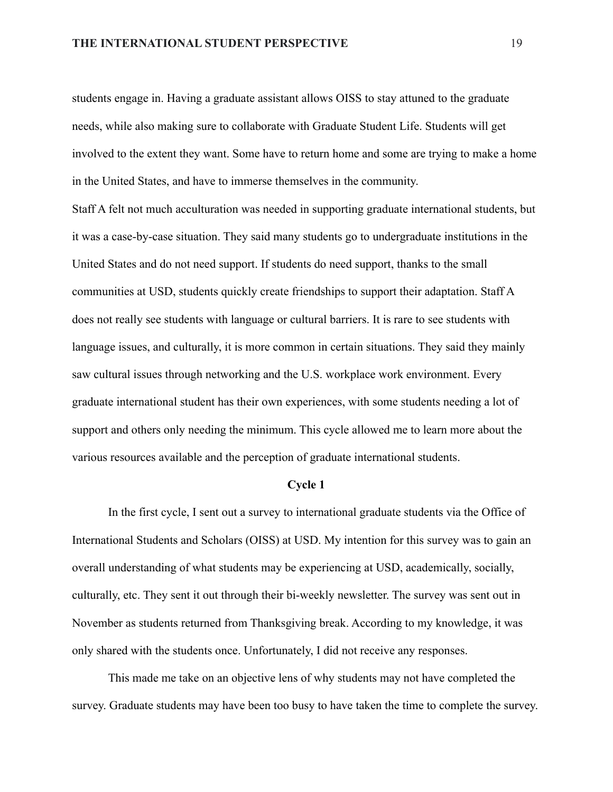students engage in. Having a graduate assistant allows OISS to stay attuned to the graduate needs, while also making sure to collaborate with Graduate Student Life. Students will get involved to the extent they want. Some have to return home and some are trying to make a home in the United States, and have to immerse themselves in the community.

Staff A felt not much acculturation was needed in supporting graduate international students, but it was a case-by-case situation. They said many students go to undergraduate institutions in the United States and do not need support. If students do need support, thanks to the small communities at USD, students quickly create friendships to support their adaptation. Staff A does not really see students with language or cultural barriers. It is rare to see students with language issues, and culturally, it is more common in certain situations. They said they mainly saw cultural issues through networking and the U.S. workplace work environment. Every graduate international student has their own experiences, with some students needing a lot of support and others only needing the minimum. This cycle allowed me to learn more about the various resources available and the perception of graduate international students.

### **Cycle 1**

In the first cycle, I sent out a survey to international graduate students via the Office of International Students and Scholars (OISS) at USD. My intention for this survey was to gain an overall understanding of what students may be experiencing at USD, academically, socially, culturally, etc. They sent it out through their bi-weekly newsletter. The survey was sent out in November as students returned from Thanksgiving break. According to my knowledge, it was only shared with the students once. Unfortunately, I did not receive any responses.

This made me take on an objective lens of why students may not have completed the survey. Graduate students may have been too busy to have taken the time to complete the survey.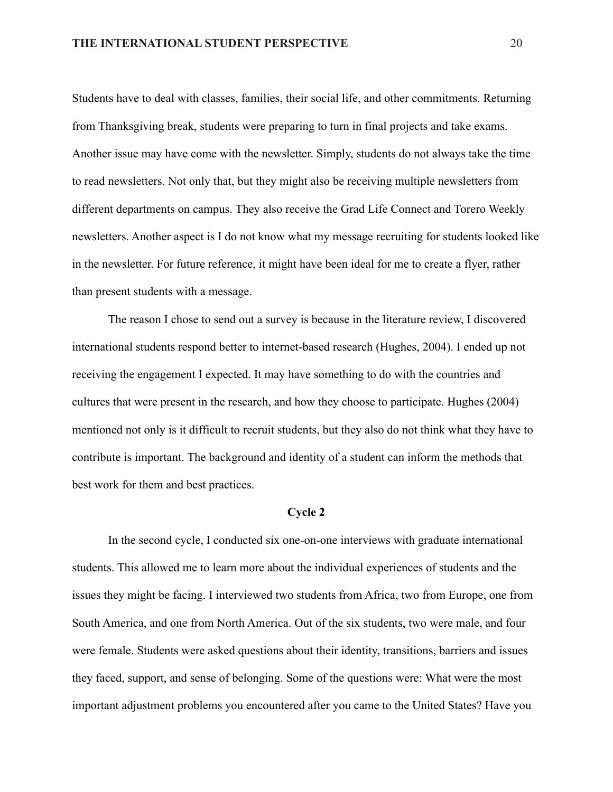Students have to deal with classes, families, their social life, and other commitments. Returning from Thanksgiving break, students were preparing to turn in final projects and take exams. Another issue may have come with the newsletter. Simply, students do not always take the time to read newsletters. Not only that, but they might also be receiving multiple newsletters from different departments on campus. They also receive the Grad Life Connect and Torero Weekly newsletters. Another aspect is I do not know what my message recruiting for students looked like in the newsletter. For future reference, it might have been ideal for me to create a flyer, rather than present students with a message.

The reason I chose to send out a survey is because in the literature review, I discovered international students respond better to internet-based research (Hughes, 2004). I ended up not receiving the engagement I expected. It may have something to do with the countries and cultures that were present in the research, and how they choose to participate. Hughes (2004) mentioned not only is it difficult to recruit students, but they also do not think what they have to contribute is important. The background and identity of a student can inform the methods that best work for them and best practices.

#### **Cycle 2**

In the second cycle, I conducted six one-on-one interviews with graduate international students. This allowed me to learn more about the individual experiences of students and the issues they might be facing. I interviewed two students from Africa, two from Europe, one from South America, and one from North America. Out of the six students, two were male, and four were female. Students were asked questions about their identity, transitions, barriers and issues they faced, support, and sense of belonging. Some of the questions were: What were the most important adjustment problems you encountered after you came to the United States? Have you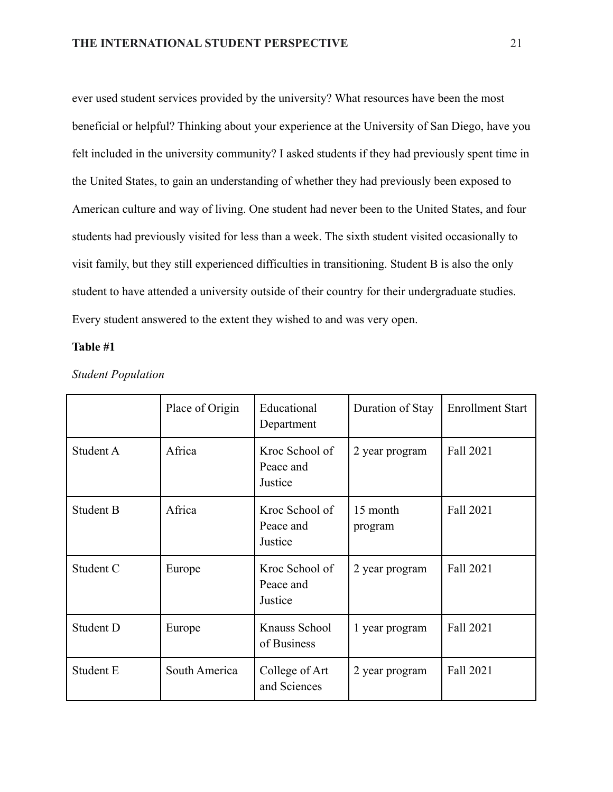ever used student services provided by the university? What resources have been the most beneficial or helpful? Thinking about your experience at the University of San Diego, have you felt included in the university community? I asked students if they had previously spent time in the United States, to gain an understanding of whether they had previously been exposed to American culture and way of living. One student had never been to the United States, and four students had previously visited for less than a week. The sixth student visited occasionally to visit family, but they still experienced difficulties in transitioning. Student B is also the only student to have attended a university outside of their country for their undergraduate studies. Every student answered to the extent they wished to and was very open.

### **Table #1**

|           | Place of Origin | Educational<br>Department              | Duration of Stay    | <b>Enrollment Start</b> |
|-----------|-----------------|----------------------------------------|---------------------|-------------------------|
| Student A | Africa          | Kroc School of<br>Peace and<br>Justice | 2 year program      | Fall 2021               |
| Student B | Africa          | Kroc School of<br>Peace and<br>Justice | 15 month<br>program | Fall 2021               |
| Student C | Europe          | Kroc School of<br>Peace and<br>Justice | 2 year program      | Fall 2021               |
| Student D | Europe          | Knauss School<br>of Business           | 1 year program      | Fall 2021               |
| Student E | South America   | College of Art<br>and Sciences         | 2 year program      | Fall 2021               |

*Student Population*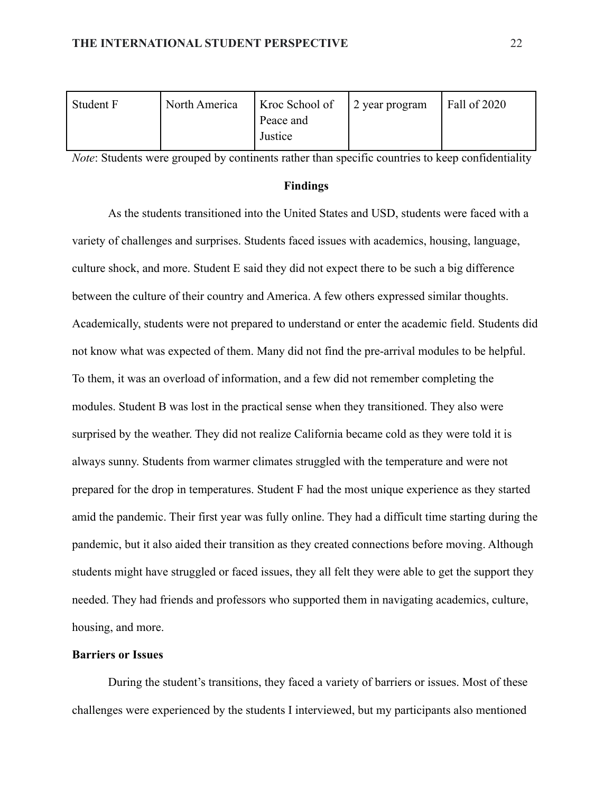| North America | Kroc School of | Fall of 2020   |
|---------------|----------------|----------------|
|               | Peace and      |                |
|               | Justice        |                |
|               |                | 2 year program |

*Note*: Students were grouped by continents rather than specific countries to keep confidentiality

#### **Findings**

As the students transitioned into the United States and USD, students were faced with a variety of challenges and surprises. Students faced issues with academics, housing, language, culture shock, and more. Student E said they did not expect there to be such a big difference between the culture of their country and America. A few others expressed similar thoughts. Academically, students were not prepared to understand or enter the academic field. Students did not know what was expected of them. Many did not find the pre-arrival modules to be helpful. To them, it was an overload of information, and a few did not remember completing the modules. Student B was lost in the practical sense when they transitioned. They also were surprised by the weather. They did not realize California became cold as they were told it is always sunny. Students from warmer climates struggled with the temperature and were not prepared for the drop in temperatures. Student F had the most unique experience as they started amid the pandemic. Their first year was fully online. They had a difficult time starting during the pandemic, but it also aided their transition as they created connections before moving. Although students might have struggled or faced issues, they all felt they were able to get the support they needed. They had friends and professors who supported them in navigating academics, culture, housing, and more.

#### **Barriers or Issues**

During the student's transitions, they faced a variety of barriers or issues. Most of these challenges were experienced by the students I interviewed, but my participants also mentioned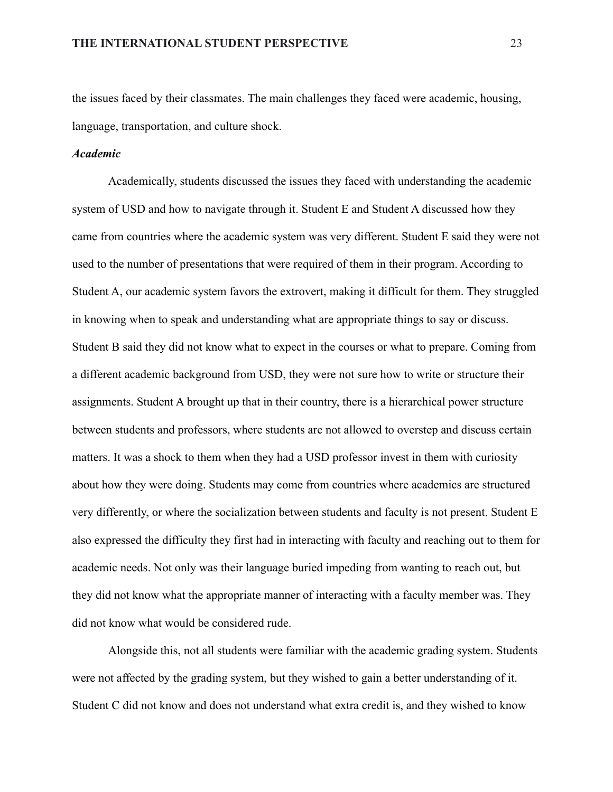the issues faced by their classmates. The main challenges they faced were academic, housing, language, transportation, and culture shock.

#### *Academic*

Academically, students discussed the issues they faced with understanding the academic system of USD and how to navigate through it. Student E and Student A discussed how they came from countries where the academic system was very different. Student E said they were not used to the number of presentations that were required of them in their program. According to Student A, our academic system favors the extrovert, making it difficult for them. They struggled in knowing when to speak and understanding what are appropriate things to say or discuss. Student B said they did not know what to expect in the courses or what to prepare. Coming from a different academic background from USD, they were not sure how to write or structure their assignments. Student A brought up that in their country, there is a hierarchical power structure between students and professors, where students are not allowed to overstep and discuss certain matters. It was a shock to them when they had a USD professor invest in them with curiosity about how they were doing. Students may come from countries where academics are structured very differently, or where the socialization between students and faculty is not present. Student E also expressed the difficulty they first had in interacting with faculty and reaching out to them for academic needs. Not only was their language buried impeding from wanting to reach out, but they did not know what the appropriate manner of interacting with a faculty member was. They did not know what would be considered rude.

Alongside this, not all students were familiar with the academic grading system. Students were not affected by the grading system, but they wished to gain a better understanding of it. Student C did not know and does not understand what extra credit is, and they wished to know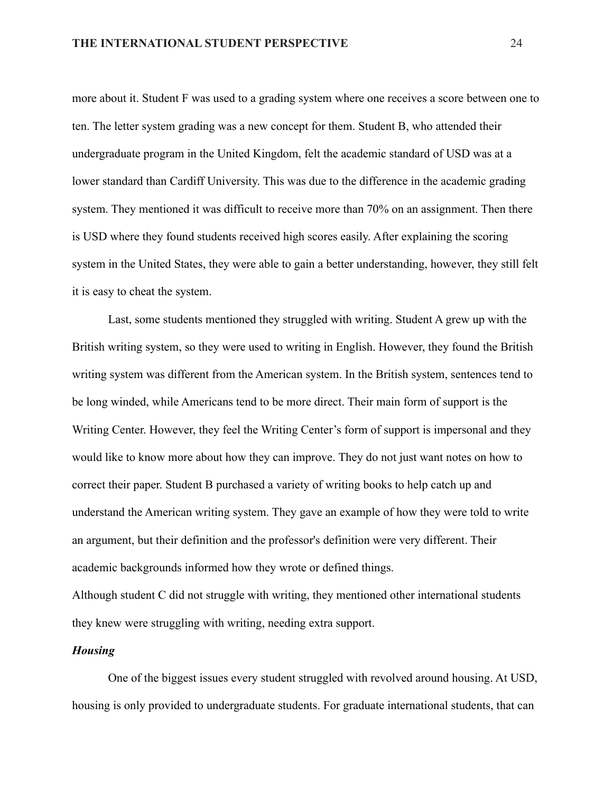more about it. Student F was used to a grading system where one receives a score between one to ten. The letter system grading was a new concept for them. Student B, who attended their undergraduate program in the United Kingdom, felt the academic standard of USD was at a lower standard than Cardiff University. This was due to the difference in the academic grading system. They mentioned it was difficult to receive more than 70% on an assignment. Then there is USD where they found students received high scores easily. After explaining the scoring system in the United States, they were able to gain a better understanding, however, they still felt it is easy to cheat the system.

Last, some students mentioned they struggled with writing. Student A grew up with the British writing system, so they were used to writing in English. However, they found the British writing system was different from the American system. In the British system, sentences tend to be long winded, while Americans tend to be more direct. Their main form of support is the Writing Center. However, they feel the Writing Center's form of support is impersonal and they would like to know more about how they can improve. They do not just want notes on how to correct their paper. Student B purchased a variety of writing books to help catch up and understand the American writing system. They gave an example of how they were told to write an argument, but their definition and the professor's definition were very different. Their academic backgrounds informed how they wrote or defined things.

Although student C did not struggle with writing, they mentioned other international students they knew were struggling with writing, needing extra support.

#### *Housing*

One of the biggest issues every student struggled with revolved around housing. At USD, housing is only provided to undergraduate students. For graduate international students, that can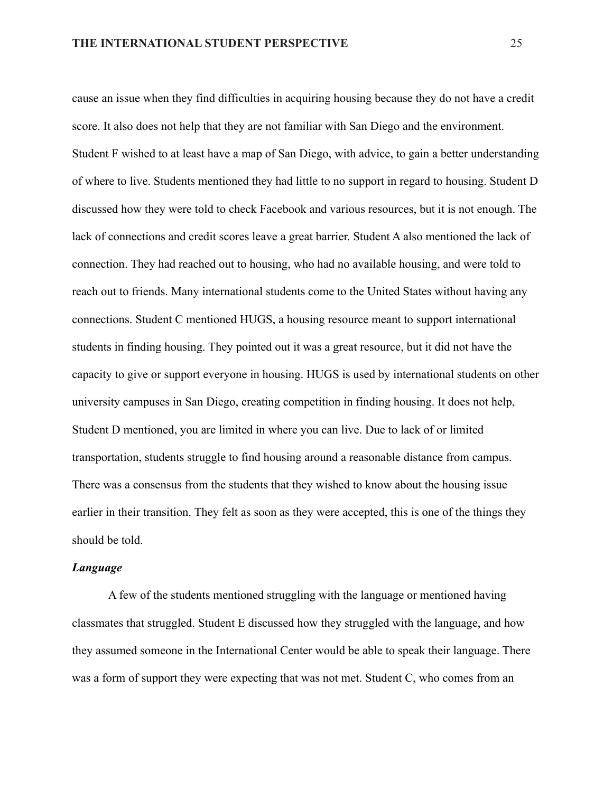cause an issue when they find difficulties in acquiring housing because they do not have a credit score. It also does not help that they are not familiar with San Diego and the environment. Student F wished to at least have a map of San Diego, with advice, to gain a better understanding of where to live. Students mentioned they had little to no support in regard to housing. Student D discussed how they were told to check Facebook and various resources, but it is not enough. The lack of connections and credit scores leave a great barrier. Student A also mentioned the lack of connection. They had reached out to housing, who had no available housing, and were told to reach out to friends. Many international students come to the United States without having any connections. Student C mentioned HUGS, a housing resource meant to support international students in finding housing. They pointed out it was a great resource, but it did not have the capacity to give or support everyone in housing. HUGS is used by international students on other university campuses in San Diego, creating competition in finding housing. It does not help, Student D mentioned, you are limited in where you can live. Due to lack of or limited transportation, students struggle to find housing around a reasonable distance from campus. There was a consensus from the students that they wished to know about the housing issue earlier in their transition. They felt as soon as they were accepted, this is one of the things they should be told.

#### *Language*

A few of the students mentioned struggling with the language or mentioned having classmates that struggled. Student E discussed how they struggled with the language, and how they assumed someone in the International Center would be able to speak their language. There was a form of support they were expecting that was not met. Student C, who comes from an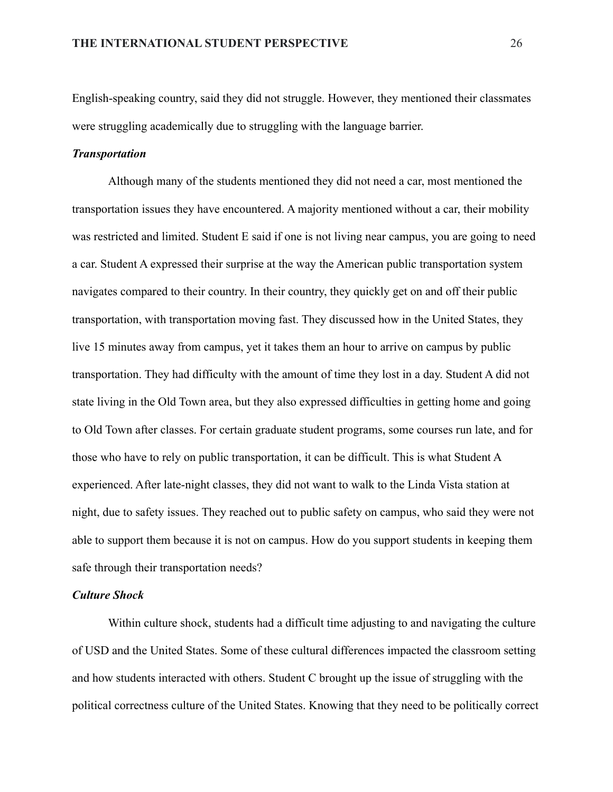English-speaking country, said they did not struggle. However, they mentioned their classmates were struggling academically due to struggling with the language barrier.

#### *Transportation*

Although many of the students mentioned they did not need a car, most mentioned the transportation issues they have encountered. A majority mentioned without a car, their mobility was restricted and limited. Student E said if one is not living near campus, you are going to need a car. Student A expressed their surprise at the way the American public transportation system navigates compared to their country. In their country, they quickly get on and off their public transportation, with transportation moving fast. They discussed how in the United States, they live 15 minutes away from campus, yet it takes them an hour to arrive on campus by public transportation. They had difficulty with the amount of time they lost in a day. Student A did not state living in the Old Town area, but they also expressed difficulties in getting home and going to Old Town after classes. For certain graduate student programs, some courses run late, and for those who have to rely on public transportation, it can be difficult. This is what Student A experienced. After late-night classes, they did not want to walk to the Linda Vista station at night, due to safety issues. They reached out to public safety on campus, who said they were not able to support them because it is not on campus. How do you support students in keeping them safe through their transportation needs?

### *Culture Shock*

Within culture shock, students had a difficult time adjusting to and navigating the culture of USD and the United States. Some of these cultural differences impacted the classroom setting and how students interacted with others. Student C brought up the issue of struggling with the political correctness culture of the United States. Knowing that they need to be politically correct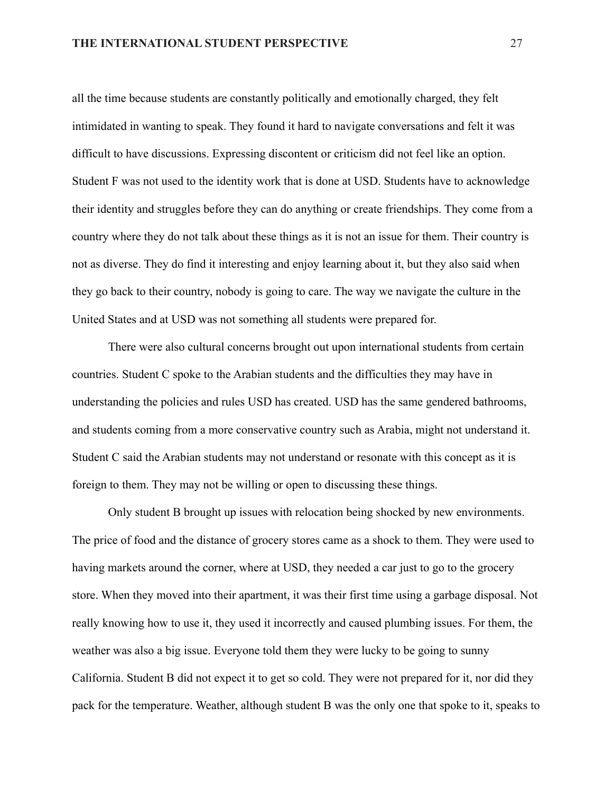all the time because students are constantly politically and emotionally charged, they felt intimidated in wanting to speak. They found it hard to navigate conversations and felt it was difficult to have discussions. Expressing discontent or criticism did not feel like an option. Student F was not used to the identity work that is done at USD. Students have to acknowledge their identity and struggles before they can do anything or create friendships. They come from a country where they do not talk about these things as it is not an issue for them. Their country is not as diverse. They do find it interesting and enjoy learning about it, but they also said when they go back to their country, nobody is going to care. The way we navigate the culture in the United States and at USD was not something all students were prepared for.

There were also cultural concerns brought out upon international students from certain countries. Student C spoke to the Arabian students and the difficulties they may have in understanding the policies and rules USD has created. USD has the same gendered bathrooms, and students coming from a more conservative country such as Arabia, might not understand it. Student C said the Arabian students may not understand or resonate with this concept as it is foreign to them. They may not be willing or open to discussing these things.

Only student B brought up issues with relocation being shocked by new environments. The price of food and the distance of grocery stores came as a shock to them. They were used to having markets around the corner, where at USD, they needed a car just to go to the grocery store. When they moved into their apartment, it was their first time using a garbage disposal. Not really knowing how to use it, they used it incorrectly and caused plumbing issues. For them, the weather was also a big issue. Everyone told them they were lucky to be going to sunny California. Student B did not expect it to get so cold. They were not prepared for it, nor did they pack for the temperature. Weather, although student B was the only one that spoke to it, speaks to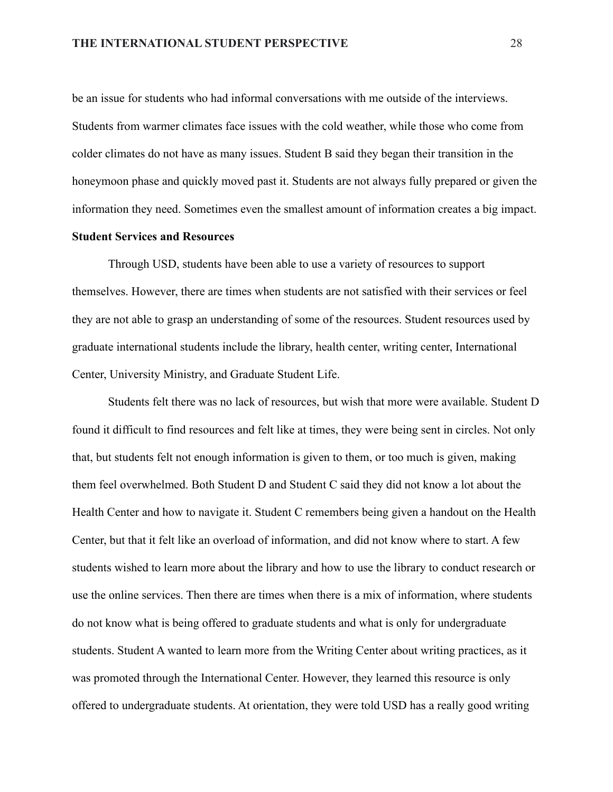be an issue for students who had informal conversations with me outside of the interviews. Students from warmer climates face issues with the cold weather, while those who come from colder climates do not have as many issues. Student B said they began their transition in the honeymoon phase and quickly moved past it. Students are not always fully prepared or given the information they need. Sometimes even the smallest amount of information creates a big impact.

### **Student Services and Resources**

Through USD, students have been able to use a variety of resources to support themselves. However, there are times when students are not satisfied with their services or feel they are not able to grasp an understanding of some of the resources. Student resources used by graduate international students include the library, health center, writing center, International Center, University Ministry, and Graduate Student Life.

Students felt there was no lack of resources, but wish that more were available. Student D found it difficult to find resources and felt like at times, they were being sent in circles. Not only that, but students felt not enough information is given to them, or too much is given, making them feel overwhelmed. Both Student D and Student C said they did not know a lot about the Health Center and how to navigate it. Student C remembers being given a handout on the Health Center, but that it felt like an overload of information, and did not know where to start. A few students wished to learn more about the library and how to use the library to conduct research or use the online services. Then there are times when there is a mix of information, where students do not know what is being offered to graduate students and what is only for undergraduate students. Student A wanted to learn more from the Writing Center about writing practices, as it was promoted through the International Center. However, they learned this resource is only offered to undergraduate students. At orientation, they were told USD has a really good writing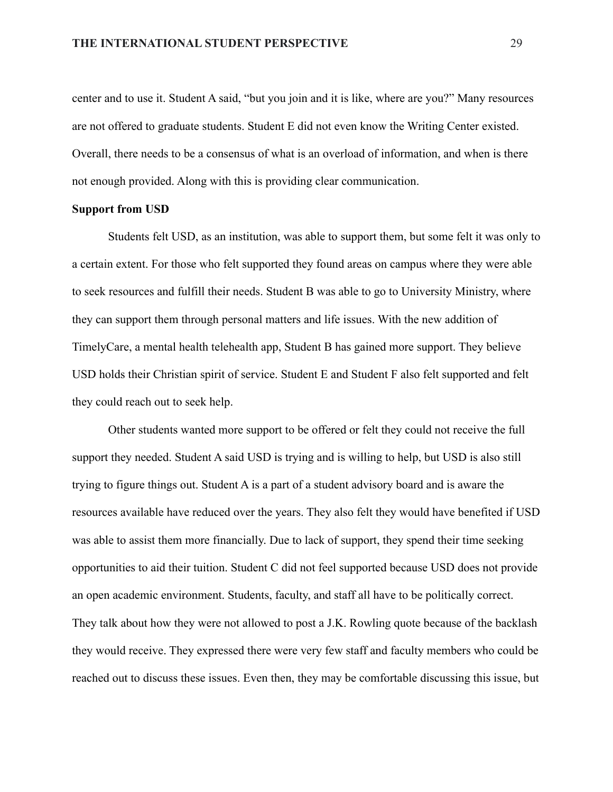center and to use it. Student A said, "but you join and it is like, where are you?" Many resources are not offered to graduate students. Student E did not even know the Writing Center existed. Overall, there needs to be a consensus of what is an overload of information, and when is there not enough provided. Along with this is providing clear communication.

#### **Support from USD**

Students felt USD, as an institution, was able to support them, but some felt it was only to a certain extent. For those who felt supported they found areas on campus where they were able to seek resources and fulfill their needs. Student B was able to go to University Ministry, where they can support them through personal matters and life issues. With the new addition of TimelyCare, a mental health telehealth app, Student B has gained more support. They believe USD holds their Christian spirit of service. Student E and Student F also felt supported and felt they could reach out to seek help.

Other students wanted more support to be offered or felt they could not receive the full support they needed. Student A said USD is trying and is willing to help, but USD is also still trying to figure things out. Student A is a part of a student advisory board and is aware the resources available have reduced over the years. They also felt they would have benefited if USD was able to assist them more financially. Due to lack of support, they spend their time seeking opportunities to aid their tuition. Student C did not feel supported because USD does not provide an open academic environment. Students, faculty, and staff all have to be politically correct. They talk about how they were not allowed to post a J.K. Rowling quote because of the backlash they would receive. They expressed there were very few staff and faculty members who could be reached out to discuss these issues. Even then, they may be comfortable discussing this issue, but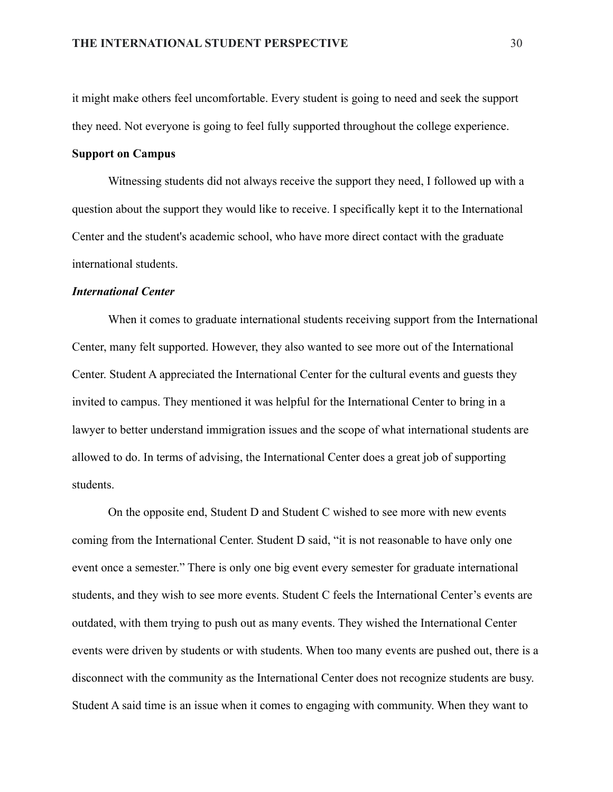it might make others feel uncomfortable. Every student is going to need and seek the support they need. Not everyone is going to feel fully supported throughout the college experience.

#### **Support on Campus**

Witnessing students did not always receive the support they need, I followed up with a question about the support they would like to receive. I specifically kept it to the International Center and the student's academic school, who have more direct contact with the graduate international students.

### *International Center*

When it comes to graduate international students receiving support from the International Center, many felt supported. However, they also wanted to see more out of the International Center. Student A appreciated the International Center for the cultural events and guests they invited to campus. They mentioned it was helpful for the International Center to bring in a lawyer to better understand immigration issues and the scope of what international students are allowed to do. In terms of advising, the International Center does a great job of supporting students.

On the opposite end, Student D and Student C wished to see more with new events coming from the International Center. Student D said, "it is not reasonable to have only one event once a semester." There is only one big event every semester for graduate international students, and they wish to see more events. Student C feels the International Center's events are outdated, with them trying to push out as many events. They wished the International Center events were driven by students or with students. When too many events are pushed out, there is a disconnect with the community as the International Center does not recognize students are busy. Student A said time is an issue when it comes to engaging with community. When they want to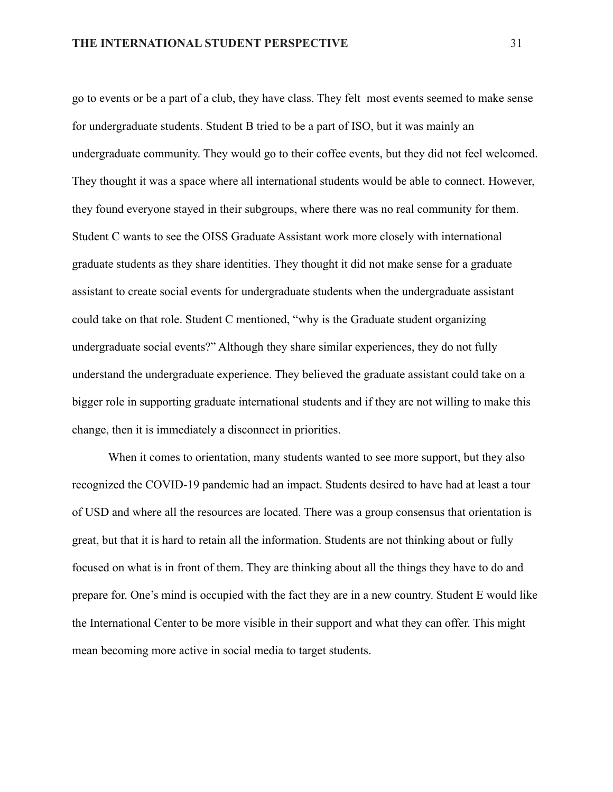go to events or be a part of a club, they have class. They felt most events seemed to make sense for undergraduate students. Student B tried to be a part of ISO, but it was mainly an undergraduate community. They would go to their coffee events, but they did not feel welcomed. They thought it was a space where all international students would be able to connect. However, they found everyone stayed in their subgroups, where there was no real community for them. Student C wants to see the OISS Graduate Assistant work more closely with international graduate students as they share identities. They thought it did not make sense for a graduate assistant to create social events for undergraduate students when the undergraduate assistant could take on that role. Student C mentioned, "why is the Graduate student organizing undergraduate social events?" Although they share similar experiences, they do not fully understand the undergraduate experience. They believed the graduate assistant could take on a bigger role in supporting graduate international students and if they are not willing to make this change, then it is immediately a disconnect in priorities.

When it comes to orientation, many students wanted to see more support, but they also recognized the COVID-19 pandemic had an impact. Students desired to have had at least a tour of USD and where all the resources are located. There was a group consensus that orientation is great, but that it is hard to retain all the information. Students are not thinking about or fully focused on what is in front of them. They are thinking about all the things they have to do and prepare for. One's mind is occupied with the fact they are in a new country. Student E would like the International Center to be more visible in their support and what they can offer. This might mean becoming more active in social media to target students.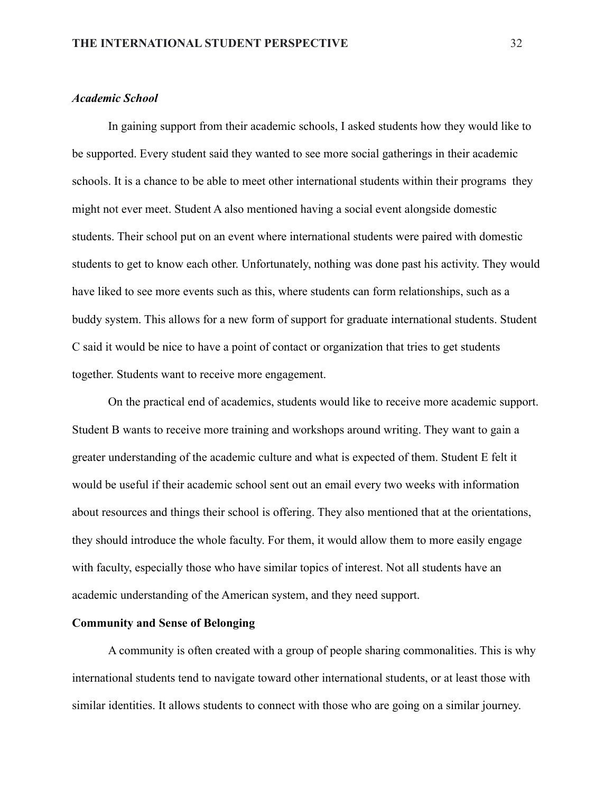### *Academic School*

In gaining support from their academic schools, I asked students how they would like to be supported. Every student said they wanted to see more social gatherings in their academic schools. It is a chance to be able to meet other international students within their programs they might not ever meet. Student A also mentioned having a social event alongside domestic students. Their school put on an event where international students were paired with domestic students to get to know each other. Unfortunately, nothing was done past his activity. They would have liked to see more events such as this, where students can form relationships, such as a buddy system. This allows for a new form of support for graduate international students. Student C said it would be nice to have a point of contact or organization that tries to get students together. Students want to receive more engagement.

On the practical end of academics, students would like to receive more academic support. Student B wants to receive more training and workshops around writing. They want to gain a greater understanding of the academic culture and what is expected of them. Student E felt it would be useful if their academic school sent out an email every two weeks with information about resources and things their school is offering. They also mentioned that at the orientations, they should introduce the whole faculty. For them, it would allow them to more easily engage with faculty, especially those who have similar topics of interest. Not all students have an academic understanding of the American system, and they need support.

### **Community and Sense of Belonging**

A community is often created with a group of people sharing commonalities. This is why international students tend to navigate toward other international students, or at least those with similar identities. It allows students to connect with those who are going on a similar journey.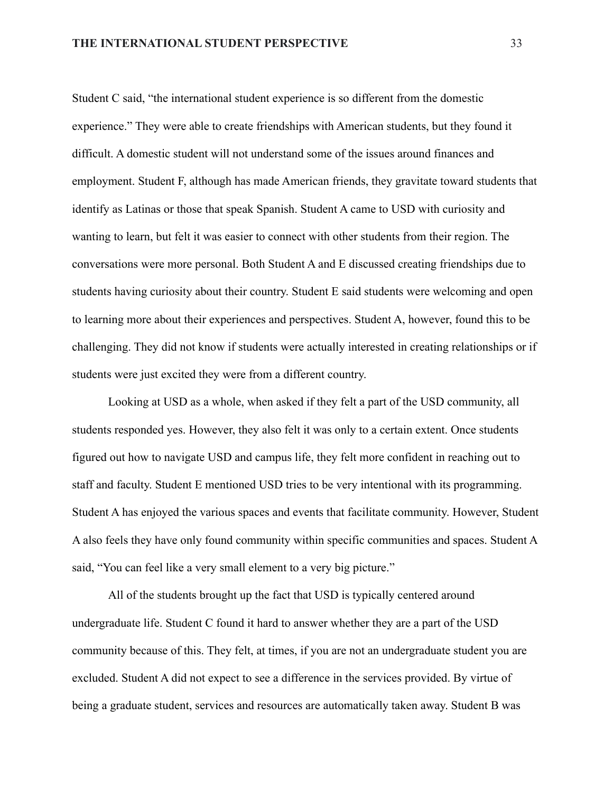Student C said, "the international student experience is so different from the domestic experience." They were able to create friendships with American students, but they found it difficult. A domestic student will not understand some of the issues around finances and employment. Student F, although has made American friends, they gravitate toward students that identify as Latinas or those that speak Spanish. Student A came to USD with curiosity and wanting to learn, but felt it was easier to connect with other students from their region. The conversations were more personal. Both Student A and E discussed creating friendships due to students having curiosity about their country. Student E said students were welcoming and open to learning more about their experiences and perspectives. Student A, however, found this to be challenging. They did not know if students were actually interested in creating relationships or if students were just excited they were from a different country.

Looking at USD as a whole, when asked if they felt a part of the USD community, all students responded yes. However, they also felt it was only to a certain extent. Once students figured out how to navigate USD and campus life, they felt more confident in reaching out to staff and faculty. Student E mentioned USD tries to be very intentional with its programming. Student A has enjoyed the various spaces and events that facilitate community. However, Student A also feels they have only found community within specific communities and spaces. Student A said, "You can feel like a very small element to a very big picture."

All of the students brought up the fact that USD is typically centered around undergraduate life. Student C found it hard to answer whether they are a part of the USD community because of this. They felt, at times, if you are not an undergraduate student you are excluded. Student A did not expect to see a difference in the services provided. By virtue of being a graduate student, services and resources are automatically taken away. Student B was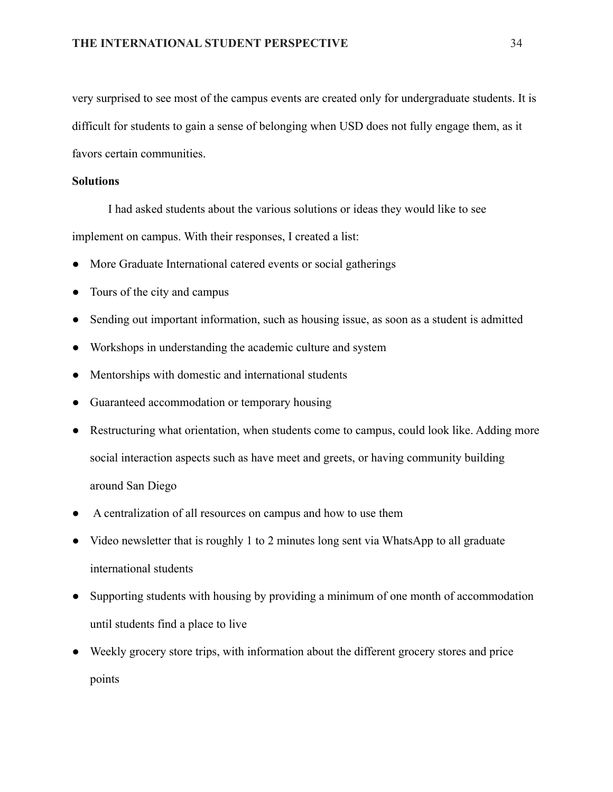very surprised to see most of the campus events are created only for undergraduate students. It is difficult for students to gain a sense of belonging when USD does not fully engage them, as it favors certain communities.

### **Solutions**

I had asked students about the various solutions or ideas they would like to see implement on campus. With their responses, I created a list:

- More Graduate International catered events or social gatherings
- Tours of the city and campus
- Sending out important information, such as housing issue, as soon as a student is admitted
- Workshops in understanding the academic culture and system
- Mentorships with domestic and international students
- Guaranteed accommodation or temporary housing
- Restructuring what orientation, when students come to campus, could look like. Adding more social interaction aspects such as have meet and greets, or having community building around San Diego
- A centralization of all resources on campus and how to use them
- Video newsletter that is roughly 1 to 2 minutes long sent via WhatsApp to all graduate international students
- Supporting students with housing by providing a minimum of one month of accommodation until students find a place to live
- Weekly grocery store trips, with information about the different grocery stores and price points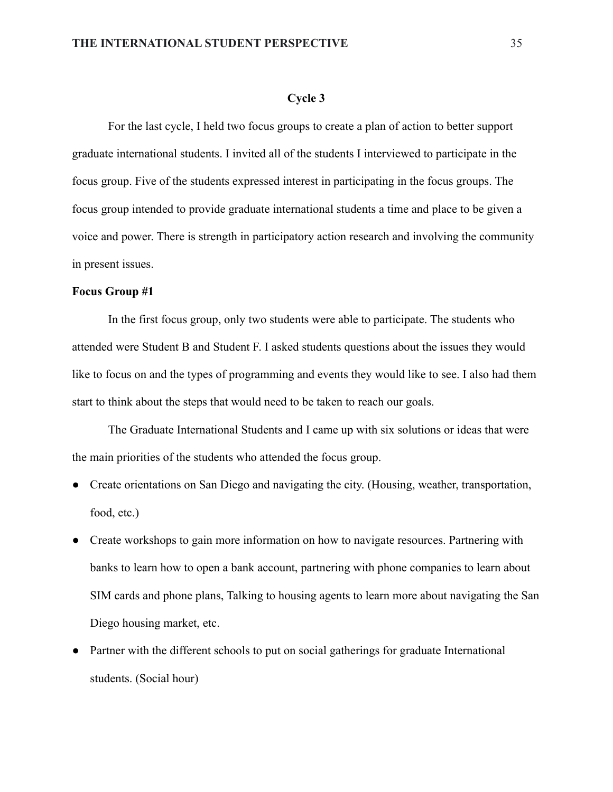#### **Cycle 3**

For the last cycle, I held two focus groups to create a plan of action to better support graduate international students. I invited all of the students I interviewed to participate in the focus group. Five of the students expressed interest in participating in the focus groups. The focus group intended to provide graduate international students a time and place to be given a voice and power. There is strength in participatory action research and involving the community in present issues.

#### **Focus Group #1**

In the first focus group, only two students were able to participate. The students who attended were Student B and Student F. I asked students questions about the issues they would like to focus on and the types of programming and events they would like to see. I also had them start to think about the steps that would need to be taken to reach our goals.

The Graduate International Students and I came up with six solutions or ideas that were the main priorities of the students who attended the focus group.

- Create orientations on San Diego and navigating the city. (Housing, weather, transportation, food, etc.)
- Create workshops to gain more information on how to navigate resources. Partnering with banks to learn how to open a bank account, partnering with phone companies to learn about SIM cards and phone plans, Talking to housing agents to learn more about navigating the San Diego housing market, etc.
- Partner with the different schools to put on social gatherings for graduate International students. (Social hour)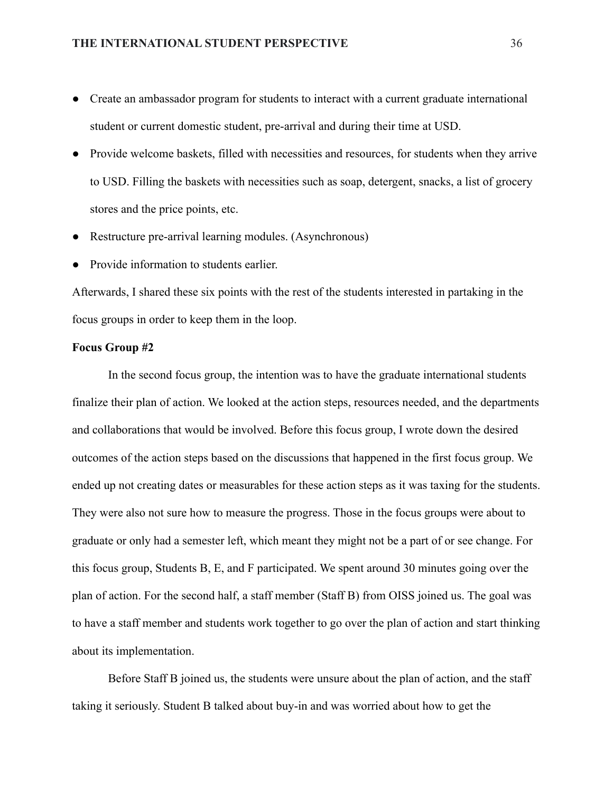- Create an ambassador program for students to interact with a current graduate international student or current domestic student, pre-arrival and during their time at USD.
- Provide welcome baskets, filled with necessities and resources, for students when they arrive to USD. Filling the baskets with necessities such as soap, detergent, snacks, a list of grocery stores and the price points, etc.
- Restructure pre-arrival learning modules. (Asynchronous)
- Provide information to students earlier.

Afterwards, I shared these six points with the rest of the students interested in partaking in the focus groups in order to keep them in the loop.

### **Focus Group #2**

In the second focus group, the intention was to have the graduate international students finalize their plan of action. We looked at the action steps, resources needed, and the departments and collaborations that would be involved. Before this focus group, I wrote down the desired outcomes of the action steps based on the discussions that happened in the first focus group. We ended up not creating dates or measurables for these action steps as it was taxing for the students. They were also not sure how to measure the progress. Those in the focus groups were about to graduate or only had a semester left, which meant they might not be a part of or see change. For this focus group, Students B, E, and F participated. We spent around 30 minutes going over the plan of action. For the second half, a staff member (Staff B) from OISS joined us. The goal was to have a staff member and students work together to go over the plan of action and start thinking about its implementation.

Before Staff B joined us, the students were unsure about the plan of action, and the staff taking it seriously. Student B talked about buy-in and was worried about how to get the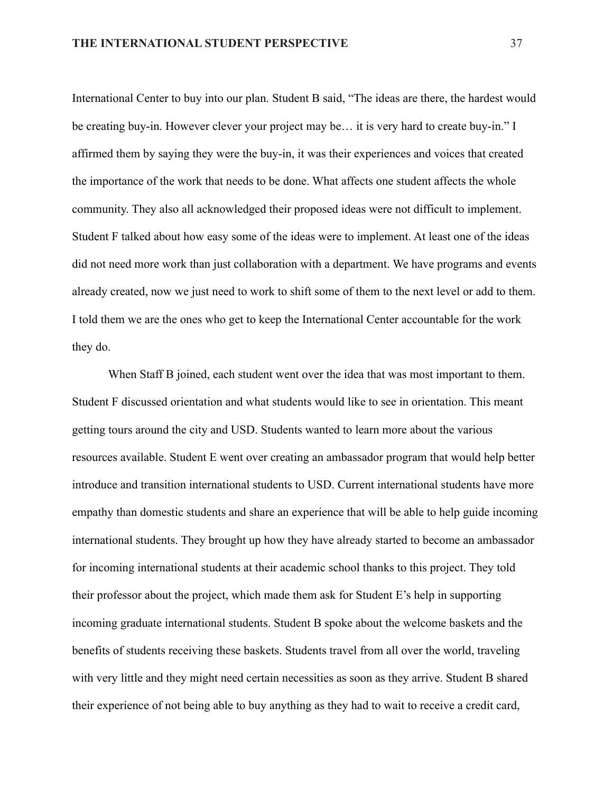International Center to buy into our plan. Student B said, "The ideas are there, the hardest would be creating buy-in. However clever your project may be… it is very hard to create buy-in." I affirmed them by saying they were the buy-in, it was their experiences and voices that created the importance of the work that needs to be done. What affects one student affects the whole community. They also all acknowledged their proposed ideas were not difficult to implement. Student F talked about how easy some of the ideas were to implement. At least one of the ideas did not need more work than just collaboration with a department. We have programs and events already created, now we just need to work to shift some of them to the next level or add to them. I told them we are the ones who get to keep the International Center accountable for the work they do.

When Staff B joined, each student went over the idea that was most important to them. Student F discussed orientation and what students would like to see in orientation. This meant getting tours around the city and USD. Students wanted to learn more about the various resources available. Student E went over creating an ambassador program that would help better introduce and transition international students to USD. Current international students have more empathy than domestic students and share an experience that will be able to help guide incoming international students. They brought up how they have already started to become an ambassador for incoming international students at their academic school thanks to this project. They told their professor about the project, which made them ask for Student E's help in supporting incoming graduate international students. Student B spoke about the welcome baskets and the benefits of students receiving these baskets. Students travel from all over the world, traveling with very little and they might need certain necessities as soon as they arrive. Student B shared their experience of not being able to buy anything as they had to wait to receive a credit card,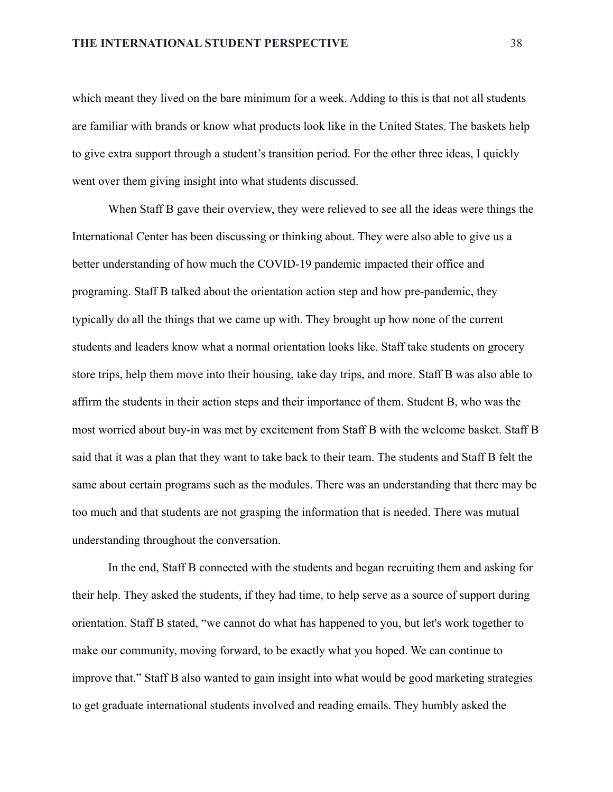which meant they lived on the bare minimum for a week. Adding to this is that not all students are familiar with brands or know what products look like in the United States. The baskets help to give extra support through a student's transition period. For the other three ideas, I quickly went over them giving insight into what students discussed.

When Staff B gave their overview, they were relieved to see all the ideas were things the International Center has been discussing or thinking about. They were also able to give us a better understanding of how much the COVID-19 pandemic impacted their office and programing. Staff B talked about the orientation action step and how pre-pandemic, they typically do all the things that we came up with. They brought up how none of the current students and leaders know what a normal orientation looks like. Staff take students on grocery store trips, help them move into their housing, take day trips, and more. Staff B was also able to affirm the students in their action steps and their importance of them. Student B, who was the most worried about buy-in was met by excitement from Staff B with the welcome basket. Staff B said that it was a plan that they want to take back to their team. The students and Staff B felt the same about certain programs such as the modules. There was an understanding that there may be too much and that students are not grasping the information that is needed. There was mutual understanding throughout the conversation.

In the end, Staff B connected with the students and began recruiting them and asking for their help. They asked the students, if they had time, to help serve as a source of support during orientation. Staff B stated, "we cannot do what has happened to you, but let's work together to make our community, moving forward, to be exactly what you hoped. We can continue to improve that." Staff B also wanted to gain insight into what would be good marketing strategies to get graduate international students involved and reading emails. They humbly asked the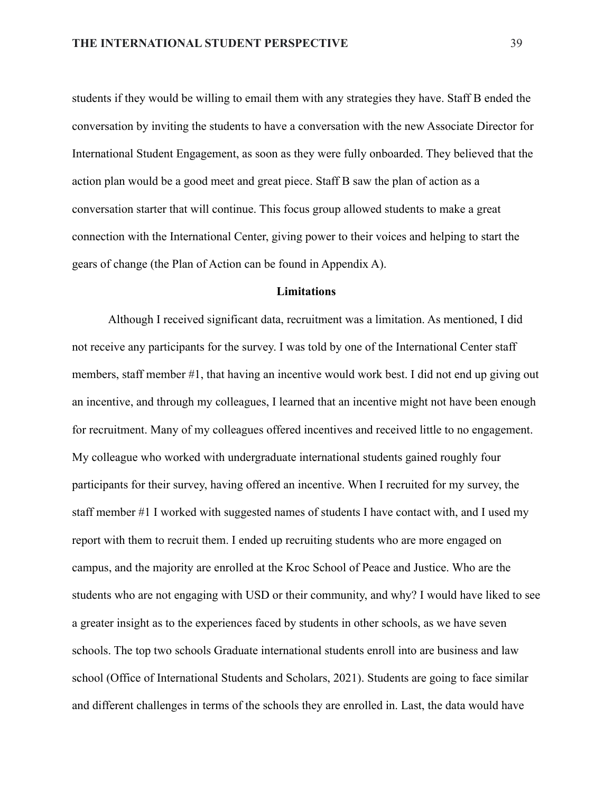students if they would be willing to email them with any strategies they have. Staff B ended the conversation by inviting the students to have a conversation with the new Associate Director for International Student Engagement, as soon as they were fully onboarded. They believed that the action plan would be a good meet and great piece. Staff B saw the plan of action as a conversation starter that will continue. This focus group allowed students to make a great connection with the International Center, giving power to their voices and helping to start the gears of change (the Plan of Action can be found in Appendix A).

#### **Limitations**

Although I received significant data, recruitment was a limitation. As mentioned, I did not receive any participants for the survey. I was told by one of the International Center staff members, staff member #1, that having an incentive would work best. I did not end up giving out an incentive, and through my colleagues, I learned that an incentive might not have been enough for recruitment. Many of my colleagues offered incentives and received little to no engagement. My colleague who worked with undergraduate international students gained roughly four participants for their survey, having offered an incentive. When I recruited for my survey, the staff member #1 I worked with suggested names of students I have contact with, and I used my report with them to recruit them. I ended up recruiting students who are more engaged on campus, and the majority are enrolled at the Kroc School of Peace and Justice. Who are the students who are not engaging with USD or their community, and why? I would have liked to see a greater insight as to the experiences faced by students in other schools, as we have seven schools. The top two schools Graduate international students enroll into are business and law school (Office of International Students and Scholars, 2021). Students are going to face similar and different challenges in terms of the schools they are enrolled in. Last, the data would have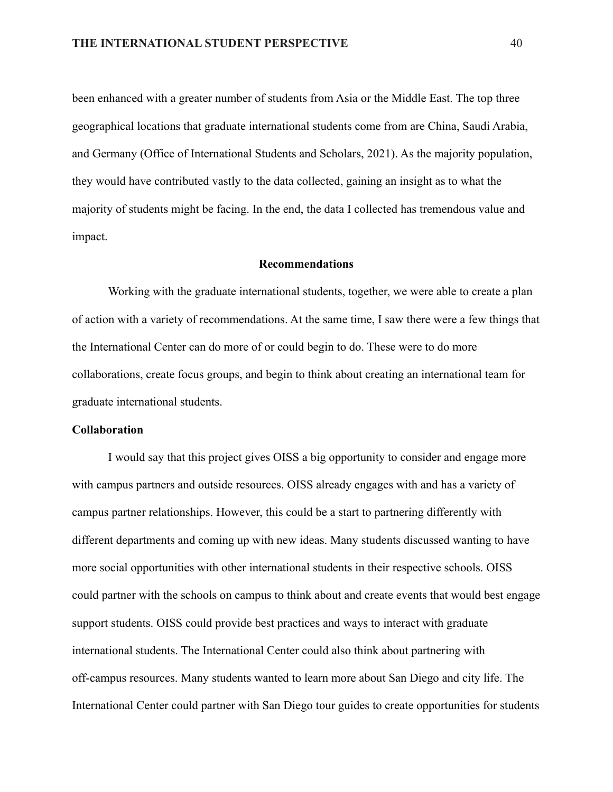been enhanced with a greater number of students from Asia or the Middle East. The top three geographical locations that graduate international students come from are China, Saudi Arabia, and Germany (Office of International Students and Scholars, 2021). As the majority population, they would have contributed vastly to the data collected, gaining an insight as to what the majority of students might be facing. In the end, the data I collected has tremendous value and impact.

#### **Recommendations**

Working with the graduate international students, together, we were able to create a plan of action with a variety of recommendations. At the same time, I saw there were a few things that the International Center can do more of or could begin to do. These were to do more collaborations, create focus groups, and begin to think about creating an international team for graduate international students.

### **Collaboration**

I would say that this project gives OISS a big opportunity to consider and engage more with campus partners and outside resources. OISS already engages with and has a variety of campus partner relationships. However, this could be a start to partnering differently with different departments and coming up with new ideas. Many students discussed wanting to have more social opportunities with other international students in their respective schools. OISS could partner with the schools on campus to think about and create events that would best engage support students. OISS could provide best practices and ways to interact with graduate international students. The International Center could also think about partnering with off-campus resources. Many students wanted to learn more about San Diego and city life. The International Center could partner with San Diego tour guides to create opportunities for students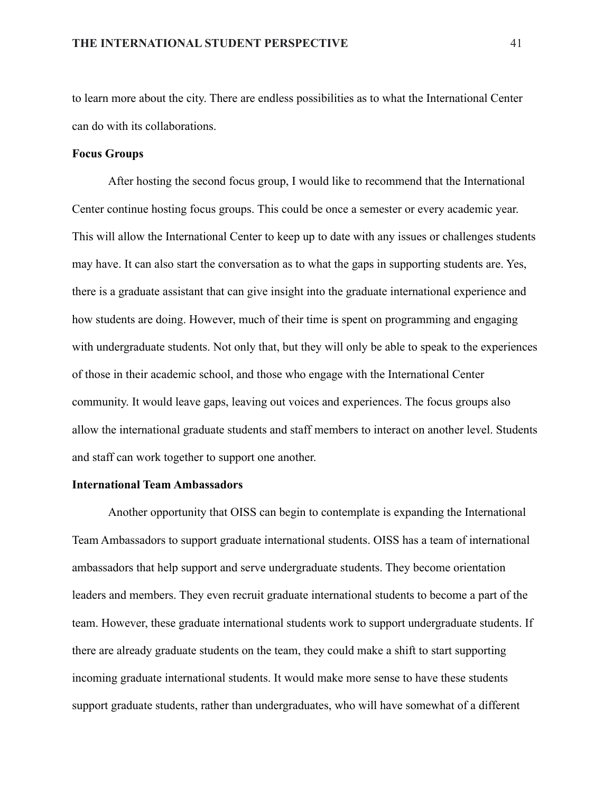to learn more about the city. There are endless possibilities as to what the International Center can do with its collaborations.

#### **Focus Groups**

After hosting the second focus group, I would like to recommend that the International Center continue hosting focus groups. This could be once a semester or every academic year. This will allow the International Center to keep up to date with any issues or challenges students may have. It can also start the conversation as to what the gaps in supporting students are. Yes, there is a graduate assistant that can give insight into the graduate international experience and how students are doing. However, much of their time is spent on programming and engaging with undergraduate students. Not only that, but they will only be able to speak to the experiences of those in their academic school, and those who engage with the International Center community. It would leave gaps, leaving out voices and experiences. The focus groups also allow the international graduate students and staff members to interact on another level. Students and staff can work together to support one another.

#### **International Team Ambassadors**

Another opportunity that OISS can begin to contemplate is expanding the International Team Ambassadors to support graduate international students. OISS has a team of international ambassadors that help support and serve undergraduate students. They become orientation leaders and members. They even recruit graduate international students to become a part of the team. However, these graduate international students work to support undergraduate students. If there are already graduate students on the team, they could make a shift to start supporting incoming graduate international students. It would make more sense to have these students support graduate students, rather than undergraduates, who will have somewhat of a different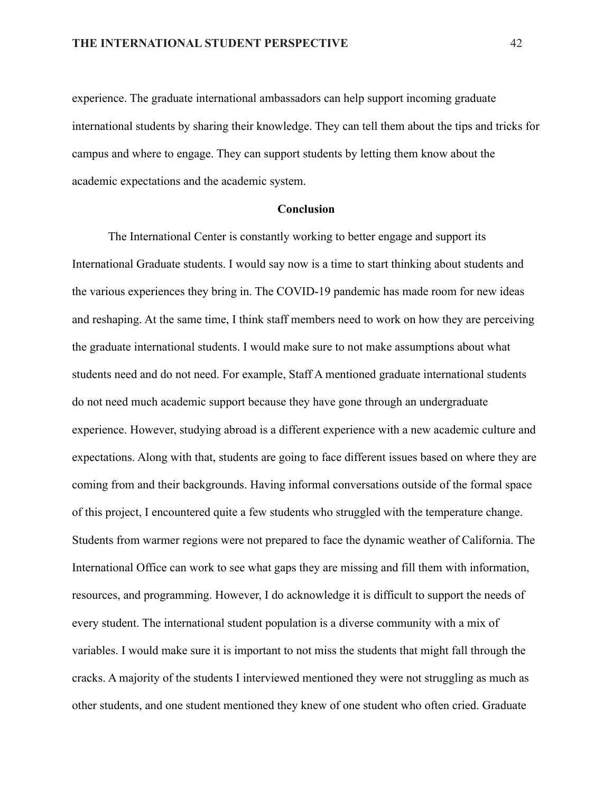experience. The graduate international ambassadors can help support incoming graduate international students by sharing their knowledge. They can tell them about the tips and tricks for campus and where to engage. They can support students by letting them know about the academic expectations and the academic system.

#### **Conclusion**

The International Center is constantly working to better engage and support its International Graduate students. I would say now is a time to start thinking about students and the various experiences they bring in. The COVID-19 pandemic has made room for new ideas and reshaping. At the same time, I think staff members need to work on how they are perceiving the graduate international students. I would make sure to not make assumptions about what students need and do not need. For example, Staff A mentioned graduate international students do not need much academic support because they have gone through an undergraduate experience. However, studying abroad is a different experience with a new academic culture and expectations. Along with that, students are going to face different issues based on where they are coming from and their backgrounds. Having informal conversations outside of the formal space of this project, I encountered quite a few students who struggled with the temperature change. Students from warmer regions were not prepared to face the dynamic weather of California. The International Office can work to see what gaps they are missing and fill them with information, resources, and programming. However, I do acknowledge it is difficult to support the needs of every student. The international student population is a diverse community with a mix of variables. I would make sure it is important to not miss the students that might fall through the cracks. A majority of the students I interviewed mentioned they were not struggling as much as other students, and one student mentioned they knew of one student who often cried. Graduate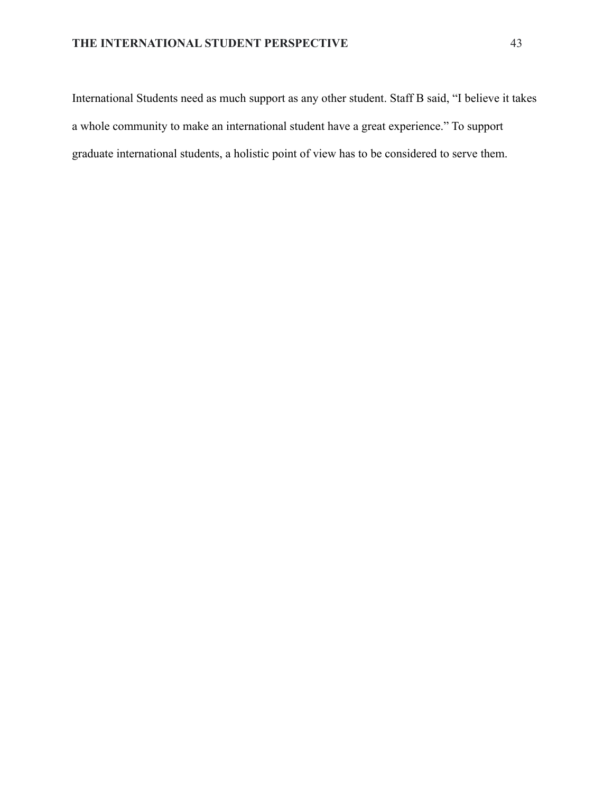International Students need as much support as any other student. Staff B said, "I believe it takes a whole community to make an international student have a great experience." To support graduate international students, a holistic point of view has to be considered to serve them.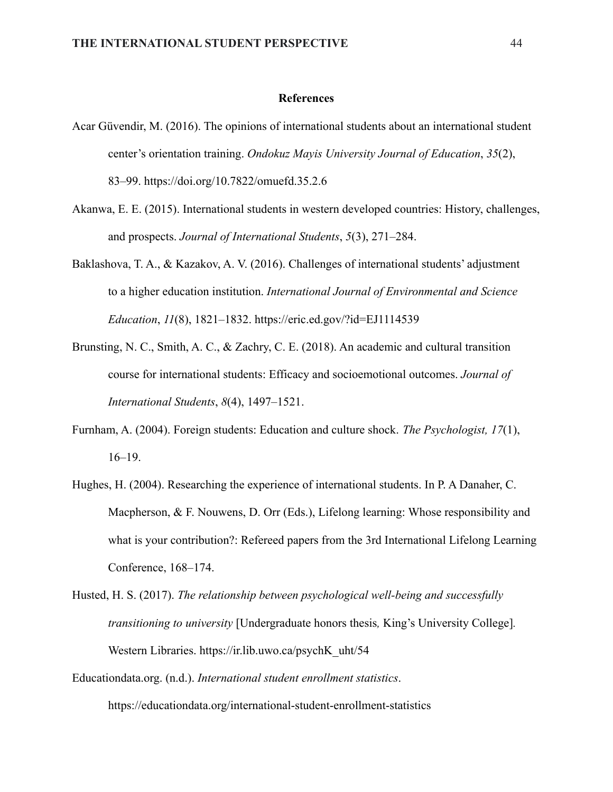#### **References**

- Acar Güvendir, M. (2016). The opinions of international students about an international student center's orientation training. *Ondokuz Mayis University Journal of Education*, *35*(2), 83–99. [https://doi.org/10.7822/omuefd.35.2.6](https://dergipark.org.tr/tr/download/article-file/264271)
- Akanwa, E. E. (2015). International students in western developed countries: History, challenges, and prospects. *Journal of International Students*, *5*(3), 271–284.
- Baklashova, T. A., & Kazakov, A. V. (2016). Challenges of international students' adjustment to a higher education institution. *International Journal of Environmental and Science Education*, *11*(8), 1821–1832. <https://eric.ed.gov/?id=EJ1114539>
- Brunsting, N. C., Smith, A. C., & Zachry, C. E. (2018). An academic and cultural transition course for international students: Efficacy and socioemotional outcomes. *Journal of International Students*, *8*(4), 1497–1521.
- Furnham, A. (2004). Foreign students: Education and culture shock. *The Psychologist, 17*(1), 16–19.
- Hughes, H. (2004). Researching the experience of international students. In P. A Danaher, C. Macpherson, & F. Nouwens, D. Orr (Eds.), Lifelong learning: Whose responsibility and what is your contribution?: Refereed papers from the 3rd International Lifelong Learning Conference, 168–174.
- Husted, H. S. (2017). *The relationship between psychological well-being and successfully transitioning to university* [Undergraduate honors thesis*,* King's University College]*.* Western Libraries. [https://ir.lib.uwo.ca/psychK\\_uht/54](https://ir.lib.uwo.ca/psychK_uht/54)
- Educationdata.org. (n.d.). *International student enrollment statistics*. <https://educationdata.org/international-student-enrollment-statistics>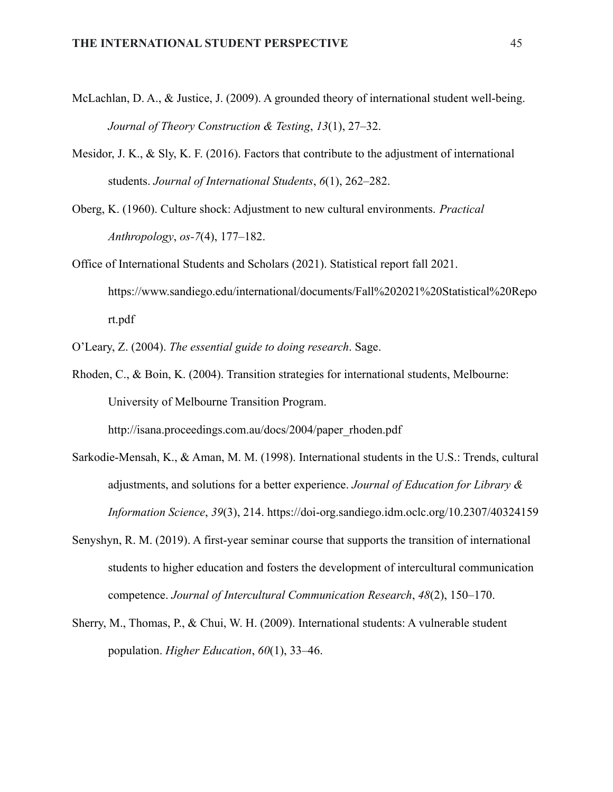- McLachlan, D. A., & Justice, J. (2009). A grounded theory of international student well-being. *Journal of Theory Construction & Testing*, *13*(1), 27–32.
- Mesidor, J. K., & Sly, K. F. (2016). Factors that contribute to the adjustment of international students. *Journal of International Students*, *6*(1), 262–282.
- Oberg, K. (1960). Culture shock: Adjustment to new cultural environments. *Practical Anthropology*, *os-7*(4), 177–182.
- Office of International Students and Scholars (2021). Statistical report fall 2021. [https://www.sandiego.edu/international/documents/Fall%202021%20Statistical%20Repo](https://www.sandiego.edu/international/documents/Fall%202021%20Statistical%20Report.pdf) [rt.pdf](https://www.sandiego.edu/international/documents/Fall%202021%20Statistical%20Report.pdf)
- O'Leary, Z. (2004). *The essential guide to doing research*. Sage.
- Rhoden, C., & Boin, K. (2004). Transition strategies for international students, Melbourne: University of Melbourne Transition Program.

[http://isana.proceedings.com.au/docs/2004/paper\\_rhoden.pdf](http://isana.proceedings.com.au/docs/2004/paper_rhoden.pdf)

- Sarkodie-Mensah, K., & Aman, M. M. (1998). International students in the U.S.: Trends, cultural adjustments, and solutions for a better experience. *Journal of Education for Library & Information Science*, *39*(3), 214. <https://doi-org.sandiego.idm.oclc.org/10.2307/40324159>
- Senyshyn, R. M. (2019). A first-year seminar course that supports the transition of international students to higher education and fosters the development of intercultural communication competence. *Journal of Intercultural Communication Research*, *48*(2), 150–170.
- Sherry, M., Thomas, P., & Chui, W. H. (2009). International students: A vulnerable student population. *Higher Education*, *60*(1), 33–46.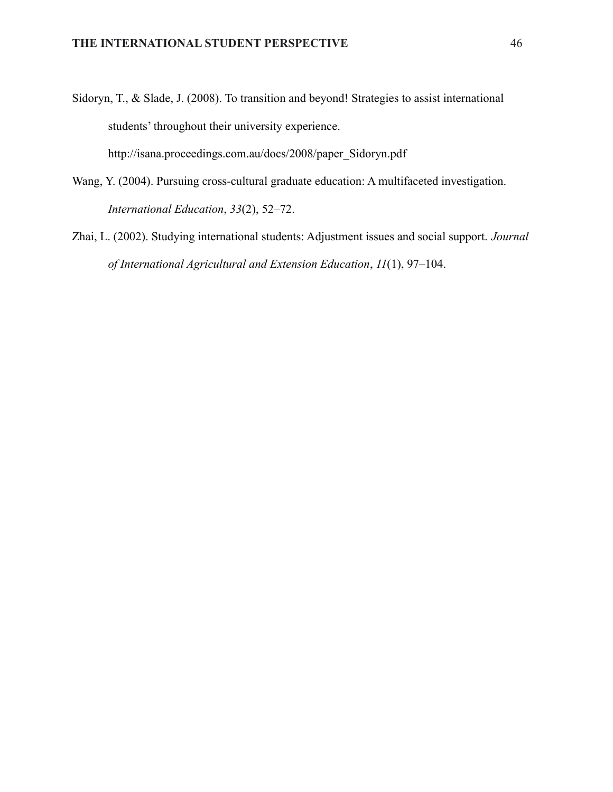- Sidoryn, T., & Slade, J. (2008). To transition and beyond! Strategies to assist international students' throughout their university experience. [http://isana.proceedings.com.au/docs/2008/paper\\_Sidoryn.pdf](http://isana.proceedings.com.au/docs/2008/paper_Sidoryn.pdf)
- Wang, Y. (2004). Pursuing cross-cultural graduate education: A multifaceted investigation. *International Education*, *33*(2), 52–72.
- Zhai, L. (2002). Studying international students: Adjustment issues and social support. *Journal of International Agricultural and Extension Education*, *11*(1), 97–104.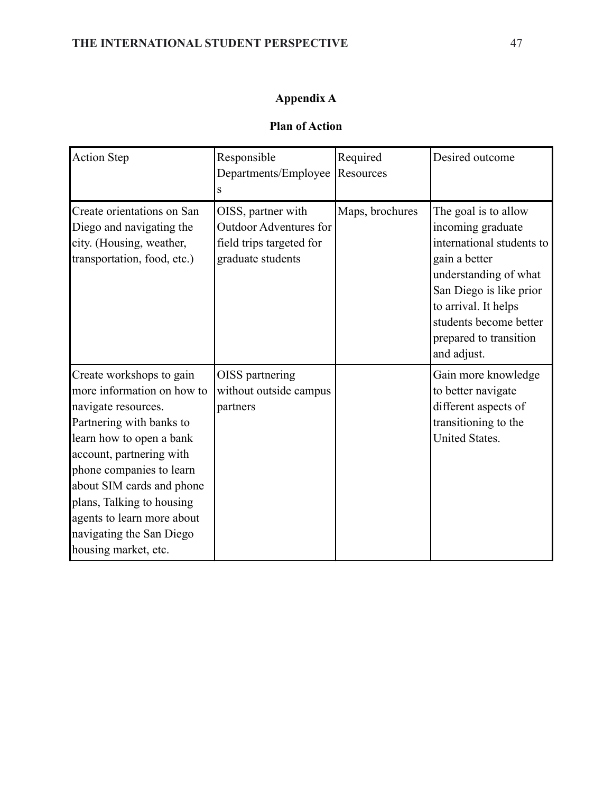# **Appendix A**

# **Plan of Action**

| <b>Action Step</b>                                                                                                                                                                                                                                                                                                                        | Responsible                                                                                          | Required        | Desired outcome                                                                                                                                                                                                                        |
|-------------------------------------------------------------------------------------------------------------------------------------------------------------------------------------------------------------------------------------------------------------------------------------------------------------------------------------------|------------------------------------------------------------------------------------------------------|-----------------|----------------------------------------------------------------------------------------------------------------------------------------------------------------------------------------------------------------------------------------|
|                                                                                                                                                                                                                                                                                                                                           | Departments/Employee                                                                                 | Resources       |                                                                                                                                                                                                                                        |
|                                                                                                                                                                                                                                                                                                                                           | S                                                                                                    |                 |                                                                                                                                                                                                                                        |
| Create orientations on San<br>Diego and navigating the<br>city. (Housing, weather,<br>transportation, food, etc.)                                                                                                                                                                                                                         | OISS, partner with<br><b>Outdoor Adventures for</b><br>field trips targeted for<br>graduate students | Maps, brochures | The goal is to allow<br>incoming graduate<br>international students to<br>gain a better<br>understanding of what<br>San Diego is like prior<br>to arrival. It helps<br>students become better<br>prepared to transition<br>and adjust. |
| Create workshops to gain<br>more information on how to<br>navigate resources.<br>Partnering with banks to<br>learn how to open a bank<br>account, partnering with<br>phone companies to learn<br>about SIM cards and phone<br>plans, Talking to housing<br>agents to learn more about<br>navigating the San Diego<br>housing market, etc. | OISS partnering<br>without outside campus<br>partners                                                |                 | Gain more knowledge<br>to better navigate<br>different aspects of<br>transitioning to the<br><b>United States.</b>                                                                                                                     |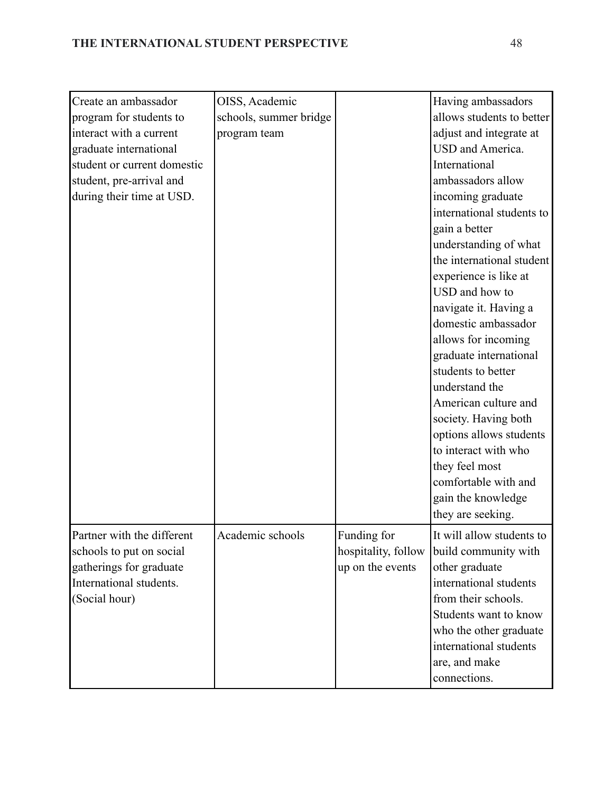| Create an ambassador        | OISS, Academic         |                     | Having ambassadors        |
|-----------------------------|------------------------|---------------------|---------------------------|
| program for students to     | schools, summer bridge |                     | allows students to better |
| interact with a current     | program team           |                     | adjust and integrate at   |
| graduate international      |                        |                     | USD and America.          |
| student or current domestic |                        |                     | International             |
| student, pre-arrival and    |                        |                     | ambassadors allow         |
| during their time at USD.   |                        |                     | incoming graduate         |
|                             |                        |                     | international students to |
|                             |                        |                     | gain a better             |
|                             |                        |                     | understanding of what     |
|                             |                        |                     | the international student |
|                             |                        |                     | experience is like at     |
|                             |                        |                     | USD and how to            |
|                             |                        |                     | navigate it. Having a     |
|                             |                        |                     | domestic ambassador       |
|                             |                        |                     | allows for incoming       |
|                             |                        |                     | graduate international    |
|                             |                        |                     | students to better        |
|                             |                        |                     | understand the            |
|                             |                        |                     | American culture and      |
|                             |                        |                     | society. Having both      |
|                             |                        |                     | options allows students   |
|                             |                        |                     | to interact with who      |
|                             |                        |                     | they feel most            |
|                             |                        |                     | comfortable with and      |
|                             |                        |                     | gain the knowledge        |
|                             |                        |                     | they are seeking.         |
| Partner with the different  | Academic schools       | Funding for         | It will allow students to |
| schools to put on social    |                        | hospitality, follow | build community with      |
| gatherings for graduate     |                        | up on the events    | other graduate            |
| International students.     |                        |                     | international students    |
| (Social hour)               |                        |                     | from their schools.       |
|                             |                        |                     | Students want to know     |
|                             |                        |                     | who the other graduate    |
|                             |                        |                     | international students    |
|                             |                        |                     | are, and make             |
|                             |                        |                     | connections.              |
|                             |                        |                     |                           |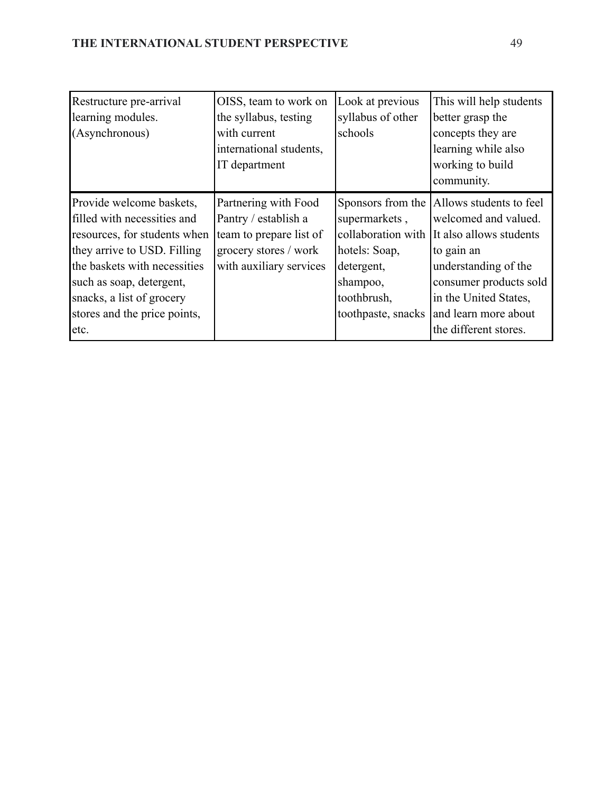| Restructure pre-arrival      | OISS, team to work on   | Look at previous   | This will help students                    |
|------------------------------|-------------------------|--------------------|--------------------------------------------|
| learning modules.            | the syllabus, testing   | syllabus of other  | better grasp the                           |
| (Asynchronous)               | with current            | schools            | concepts they are                          |
|                              | international students, |                    | learning while also                        |
|                              | IT department           |                    | working to build                           |
|                              |                         |                    | community.                                 |
| Provide welcome baskets,     | Partnering with Food    |                    | Sponsors from the  Allows students to feel |
| filled with necessities and  | Pantry / establish a    | supermarkets,      | welcomed and valued.                       |
| resources, for students when | team to prepare list of | collaboration with | It also allows students                    |
| they arrive to USD. Filling  | grocery stores / work   | hotels: Soap,      | to gain an                                 |
| the baskets with necessities | with auxiliary services | detergent,         | understanding of the                       |
| such as soap, detergent,     |                         | shampoo,           | consumer products sold                     |
| snacks, a list of grocery    |                         | toothbrush,        | in the United States,                      |
| stores and the price points, |                         | toothpaste, snacks | and learn more about                       |
| etc.                         |                         |                    | the different stores.                      |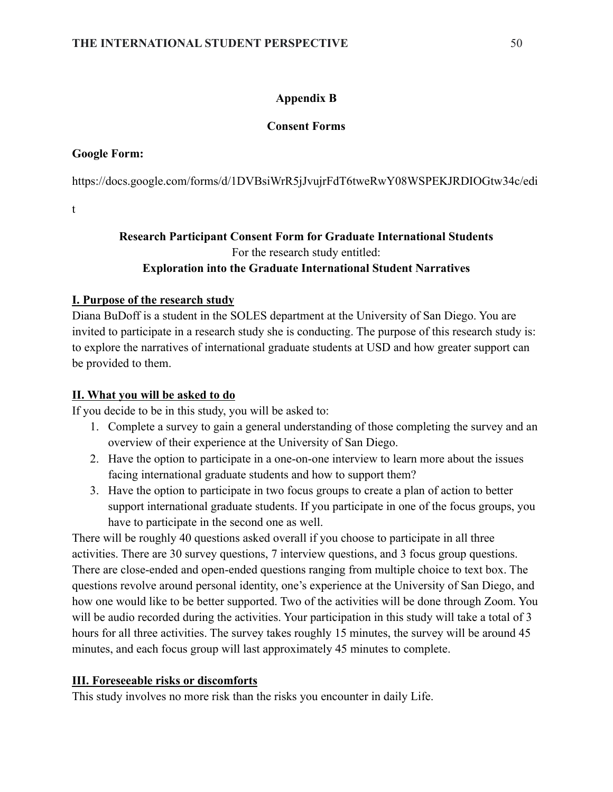# **Appendix B**

# **Consent Forms**

# **Google Form:**

[https://docs.google.com/forms/d/1DVBsiWrR5jJvujrFdT6tweRwY08WSPEKJRDIOGtw34c/edi](https://docs.google.com/forms/d/1DVBsiWrR5jJvujrFdT6tweRwY08WSPEKJRDIOGtw34c/edit)

[t](https://docs.google.com/forms/d/1DVBsiWrR5jJvujrFdT6tweRwY08WSPEKJRDIOGtw34c/edit)

# **Research Participant Consent Form for Graduate International Students** For the research study entitled: **Exploration into the Graduate International Student Narratives**

# **I. Purpose of the research study**

Diana BuDoff is a student in the SOLES department at the University of San Diego. You are invited to participate in a research study she is conducting. The purpose of this research study is: to explore the narratives of international graduate students at USD and how greater support can be provided to them.

# **II. What you will be asked to do**

If you decide to be in this study, you will be asked to:

- 1. Complete a survey to gain a general understanding of those completing the survey and an overview of their experience at the University of San Diego.
- 2. Have the option to participate in a one-on-one interview to learn more about the issues facing international graduate students and how to support them?
- 3. Have the option to participate in two focus groups to create a plan of action to better support international graduate students. If you participate in one of the focus groups, you have to participate in the second one as well.

There will be roughly 40 questions asked overall if you choose to participate in all three activities. There are 30 survey questions, 7 interview questions, and 3 focus group questions. There are close-ended and open-ended questions ranging from multiple choice to text box. The questions revolve around personal identity, one's experience at the University of San Diego, and how one would like to be better supported. Two of the activities will be done through Zoom. You will be audio recorded during the activities. Your participation in this study will take a total of 3 hours for all three activities. The survey takes roughly 15 minutes, the survey will be around 45 minutes, and each focus group will last approximately 45 minutes to complete.

# **III. Foreseeable risks or discomforts**

This study involves no more risk than the risks you encounter in daily Life.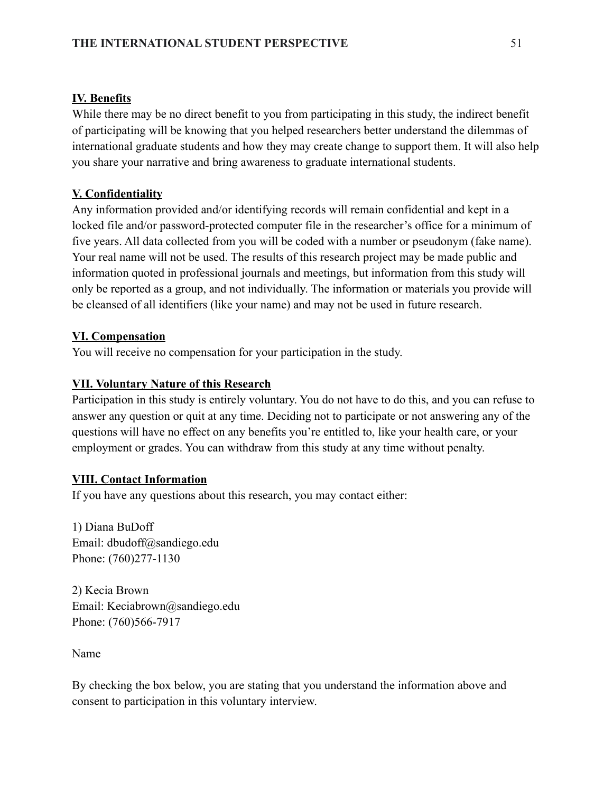# **IV. Benefits**

While there may be no direct benefit to you from participating in this study, the indirect benefit of participating will be knowing that you helped researchers better understand the dilemmas of international graduate students and how they may create change to support them. It will also help you share your narrative and bring awareness to graduate international students.

### **V. Confidentiality**

Any information provided and/or identifying records will remain confidential and kept in a locked file and/or password-protected computer file in the researcher's office for a minimum of five years. All data collected from you will be coded with a number or pseudonym (fake name). Your real name will not be used. The results of this research project may be made public and information quoted in professional journals and meetings, but information from this study will only be reported as a group, and not individually. The information or materials you provide will be cleansed of all identifiers (like your name) and may not be used in future research.

# **VI. Compensation**

You will receive no compensation for your participation in the study.

# **VII. Voluntary Nature of this Research**

Participation in this study is entirely voluntary. You do not have to do this, and you can refuse to answer any question or quit at any time. Deciding not to participate or not answering any of the questions will have no effect on any benefits you're entitled to, like your health care, or your employment or grades. You can withdraw from this study at any time without penalty.

### **VIII. Contact Information**

If you have any questions about this research, you may contact either:

1) Diana BuDoff Email: dbudoff@sandiego.edu Phone: (760)277-1130

2) Kecia Brown Email: Keciabrown@sandiego.edu Phone: (760)566-7917

Name

By checking the box below, you are stating that you understand the information above and consent to participation in this voluntary interview.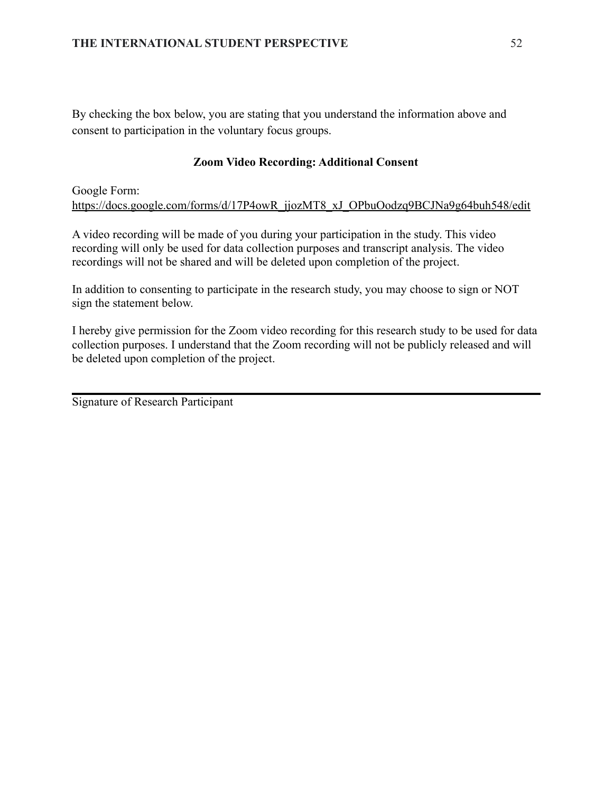By checking the box below, you are stating that you understand the information above and consent to participation in the voluntary focus groups.

# **Zoom Video Recording: Additional Consent**

Google Form: [https://docs.google.com/forms/d/17P4owR\\_jjozMT8\\_xJ\\_OPbuOodzq9BCJNa9g64buh548/edit](https://docs.google.com/forms/d/17P4owR_jjozMT8_xJ_OPbuOodzq9BCJNa9g64buh548/edit)

A video recording will be made of you during your participation in the study. This video recording will only be used for data collection purposes and transcript analysis. The video recordings will not be shared and will be deleted upon completion of the project.

In addition to consenting to participate in the research study, you may choose to sign or NOT sign the statement below.

I hereby give permission for the Zoom video recording for this research study to be used for data collection purposes. I understand that the Zoom recording will not be publicly released and will be deleted upon completion of the project.

Signature of Research Participant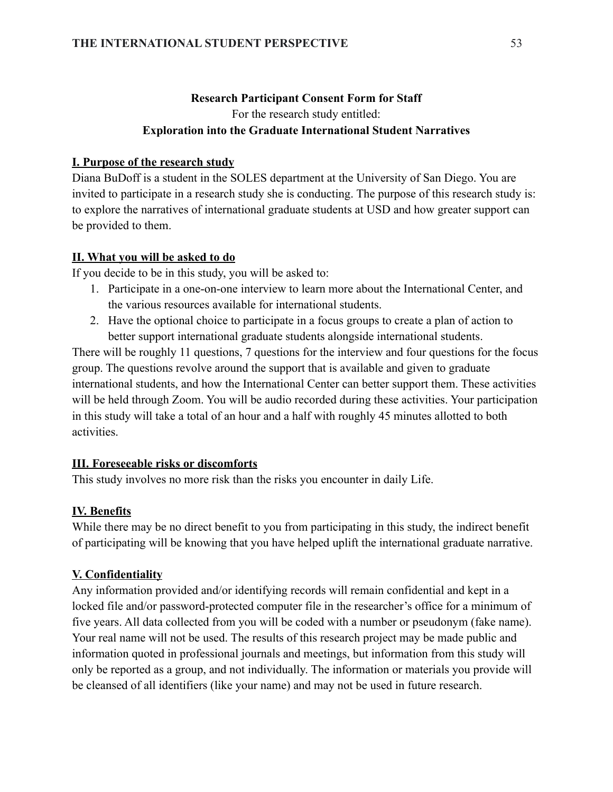# **Research Participant Consent Form for Staff** For the research study entitled: **Exploration into the Graduate International Student Narratives**

# **I. Purpose of the research study**

Diana BuDoff is a student in the SOLES department at the University of San Diego. You are invited to participate in a research study she is conducting. The purpose of this research study is: to explore the narratives of international graduate students at USD and how greater support can be provided to them.

# **II. What you will be asked to do**

If you decide to be in this study, you will be asked to:

- 1. Participate in a one-on-one interview to learn more about the International Center, and the various resources available for international students.
- 2. Have the optional choice to participate in a focus groups to create a plan of action to better support international graduate students alongside international students.

There will be roughly 11 questions, 7 questions for the interview and four questions for the focus group. The questions revolve around the support that is available and given to graduate international students, and how the International Center can better support them. These activities will be held through Zoom. You will be audio recorded during these activities. Your participation in this study will take a total of an hour and a half with roughly 45 minutes allotted to both activities.

# **III. Foreseeable risks or discomforts**

This study involves no more risk than the risks you encounter in daily Life.

# **IV. Benefits**

While there may be no direct benefit to you from participating in this study, the indirect benefit of participating will be knowing that you have helped uplift the international graduate narrative.

# **V. Confidentiality**

Any information provided and/or identifying records will remain confidential and kept in a locked file and/or password-protected computer file in the researcher's office for a minimum of five years. All data collected from you will be coded with a number or pseudonym (fake name). Your real name will not be used. The results of this research project may be made public and information quoted in professional journals and meetings, but information from this study will only be reported as a group, and not individually. The information or materials you provide will be cleansed of all identifiers (like your name) and may not be used in future research.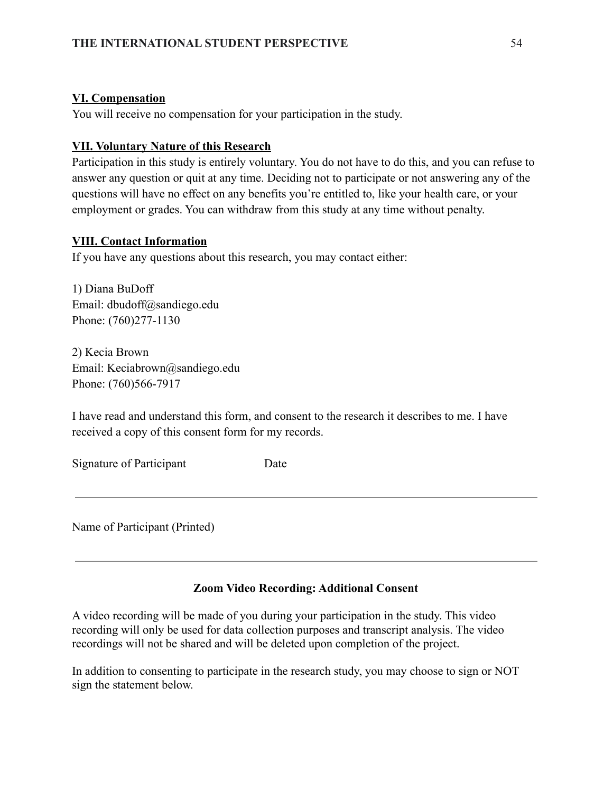# **VI. Compensation**

You will receive no compensation for your participation in the study.

# **VII. Voluntary Nature of this Research**

Participation in this study is entirely voluntary. You do not have to do this, and you can refuse to answer any question or quit at any time. Deciding not to participate or not answering any of the questions will have no effect on any benefits you're entitled to, like your health care, or your employment or grades. You can withdraw from this study at any time without penalty.

# **VIII. Contact Information**

If you have any questions about this research, you may contact either:

1) Diana BuDoff Email: dbudoff@sandiego.edu Phone: (760)277-1130

2) Kecia Brown Email: Keciabrown@sandiego.edu Phone: (760)566-7917

I have read and understand this form, and consent to the research it describes to me. I have received a copy of this consent form for my records.

Signature of Participant Date

Name of Participant (Printed)

# **Zoom Video Recording: Additional Consent**

A video recording will be made of you during your participation in the study. This video recording will only be used for data collection purposes and transcript analysis. The video recordings will not be shared and will be deleted upon completion of the project.

In addition to consenting to participate in the research study, you may choose to sign or NOT sign the statement below.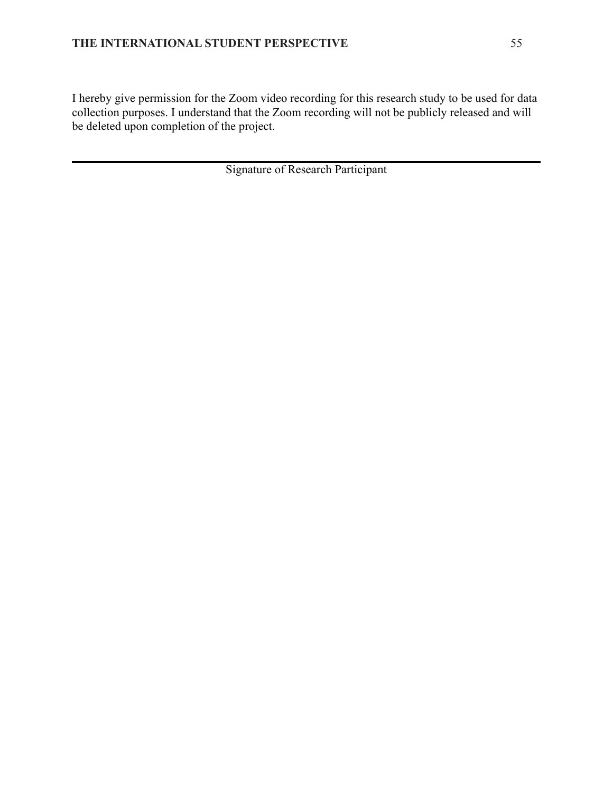I hereby give permission for the Zoom video recording for this research study to be used for data collection purposes. I understand that the Zoom recording will not be publicly released and will be deleted upon completion of the project.

Signature of Research Participant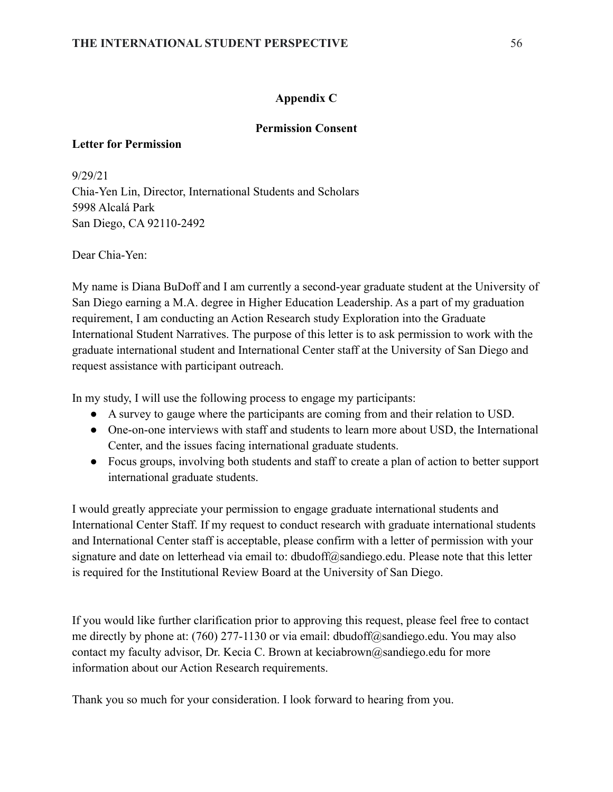# **Appendix C**

# **Permission Consent**

# **Letter for Permission**

9/29/21 Chia-Yen Lin, Director, International Students and Scholars 5998 Alcalá Park San Diego, CA 92110-2492

Dear Chia-Yen:

My name is Diana BuDoff and I am currently a second-year graduate student at the University of San Diego earning a M.A. degree in Higher Education Leadership. As a part of my graduation requirement, I am conducting an Action Research study Exploration into the Graduate International Student Narratives. The purpose of this letter is to ask permission to work with the graduate international student and International Center staff at the University of San Diego and request assistance with participant outreach.

In my study, I will use the following process to engage my participants:

- A survey to gauge where the participants are coming from and their relation to USD.
- One-on-one interviews with staff and students to learn more about USD, the International Center, and the issues facing international graduate students.
- Focus groups, involving both students and staff to create a plan of action to better support international graduate students.

I would greatly appreciate your permission to engage graduate international students and International Center Staff. If my request to conduct research with graduate international students and International Center staff is acceptable, please confirm with a letter of permission with your signature and date on letterhead via email to: dbudoff@sandiego.edu. Please note that this letter is required for the Institutional Review Board at the University of San Diego.

If you would like further clarification prior to approving this request, please feel free to contact me directly by phone at: (760) 277-1130 or via email: dbudoff@sandiego.edu. You may also contact my faculty advisor, Dr. Kecia C. Brown at keciabrown@sandiego.edu for more information about our Action Research requirements.

Thank you so much for your consideration. I look forward to hearing from you.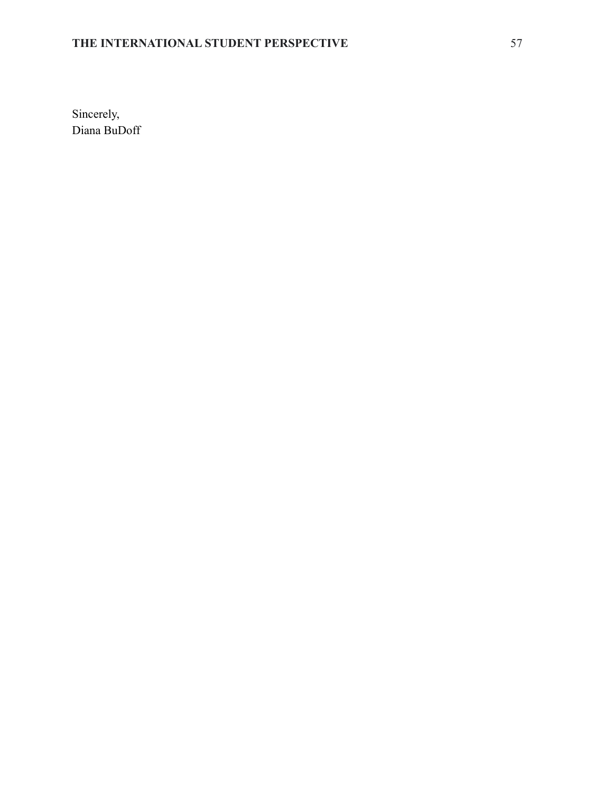# **THE INTERNATIONAL STUDENT PERSPECTIVE** 57

Sincerely, Diana BuDoff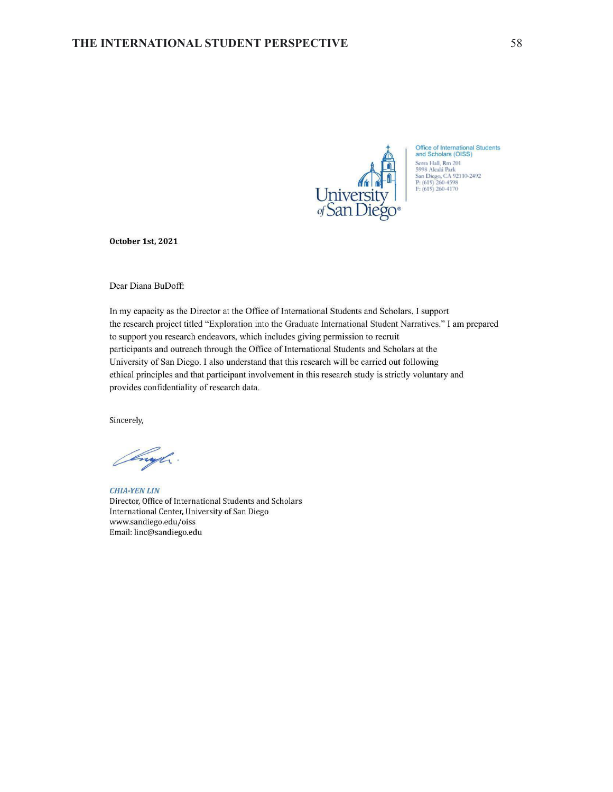

Office of International Students<br>and Scholars (OISS) Serra Hall, Rm 201<br>
S998 Alcalá Park<br>
San Diego, CA 92110-2492<br>
P: (619) 260-4598<br>
F: (619) 260-4170

October 1st, 2021

Dear Diana BuDoff:

In my capacity as the Director at the Office of International Students and Scholars, I support the research project titled "Exploration into the Graduate International Student Narratives." I am prepared to support you research endeavors, which includes giving permission to recruit participants and outreach through the Office of International Students and Scholars at the University of San Diego. I also understand that this research will be carried out following ethical principles and that participant involvement in this research study is strictly voluntary and provides confidentiality of research data.

Sincerely,

enyl.

**CHIA-YEN LIN** Director, Office of International Students and Scholars International Center, University of San Diego www.sandiego.edu/oiss Email: linc@sandiego.edu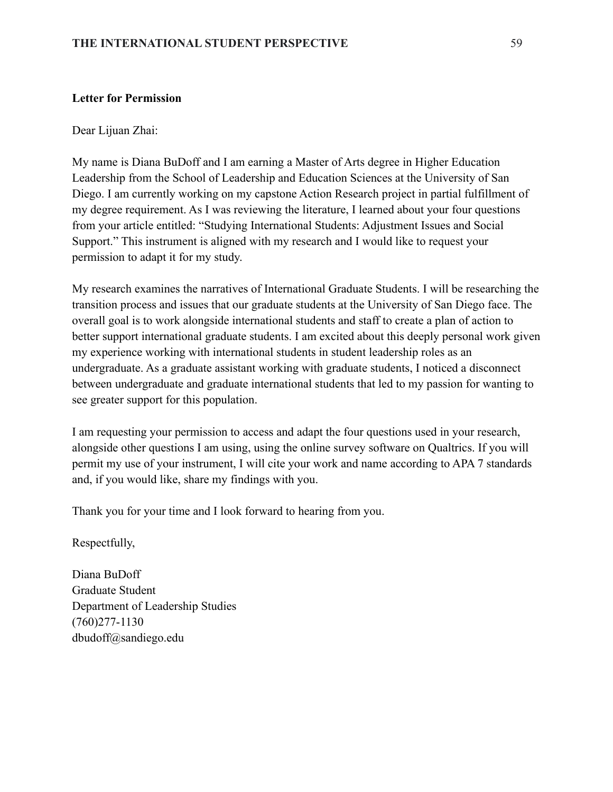### **Letter for Permission**

Dear Lijuan Zhai:

My name is Diana BuDoff and I am earning a Master of Arts degree in Higher Education Leadership from the School of Leadership and Education Sciences at the University of San Diego. I am currently working on my capstone Action Research project in partial fulfillment of my degree requirement. As I was reviewing the literature, I learned about your four questions from your article entitled: "Studying International Students: Adjustment Issues and Social Support." This instrument is aligned with my research and I would like to request your permission to adapt it for my study.

My research examines the narratives of International Graduate Students. I will be researching the transition process and issues that our graduate students at the University of San Diego face. The overall goal is to work alongside international students and staff to create a plan of action to better support international graduate students. I am excited about this deeply personal work given my experience working with international students in student leadership roles as an undergraduate. As a graduate assistant working with graduate students, I noticed a disconnect between undergraduate and graduate international students that led to my passion for wanting to see greater support for this population.

I am requesting your permission to access and adapt the four questions used in your research, alongside other questions I am using, using the online survey software on Qualtrics. If you will permit my use of your instrument, I will cite your work and name according to APA 7 standards and, if you would like, share my findings with you.

Thank you for your time and I look forward to hearing from you.

Respectfully,

Diana BuDoff Graduate Student Department of Leadership Studies (760)277-1130 dbudoff@sandiego.edu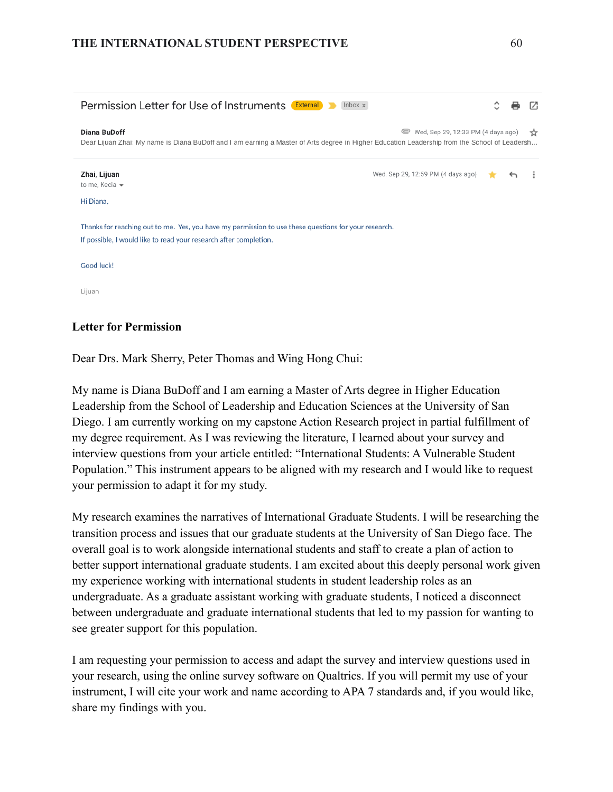# **THE INTERNATIONAL STUDENT PERSPECTIVE** 60

| <b>Permission Letter for Use of Instruments External</b><br>Inbox $\times$                                                                                                                                 |                                    |  |              |       |
|------------------------------------------------------------------------------------------------------------------------------------------------------------------------------------------------------------|------------------------------------|--|--------------|-------|
| <b>Diana BuDoff</b><br>Wed, Sep 29, 12:33 PM (4 days ago)<br>Dear Lijuan Zhai: My name is Diana BuDoff and I am earning a Master of Arts degree in Higher Education Leadership from the School of Leadersh |                                    |  |              | ☆     |
| Zhai, Lijuan<br>to me, Kecia -                                                                                                                                                                             | Wed, Sep 29, 12:59 PM (4 days ago) |  | $\leftarrow$ | $\pm$ |
| Hi Diana,                                                                                                                                                                                                  |                                    |  |              |       |
| Thanks for reaching out to me. Yes, you have my permission to use these questions for your research.<br>If possible, I would like to read your research after completion.                                  |                                    |  |              |       |
| Good luck!                                                                                                                                                                                                 |                                    |  |              |       |
| Lijuan                                                                                                                                                                                                     |                                    |  |              |       |

# **Letter for Permission**

Dear Drs. Mark Sherry, Peter Thomas and Wing Hong Chui:

My name is Diana BuDoff and I am earning a Master of Arts degree in Higher Education Leadership from the School of Leadership and Education Sciences at the University of San Diego. I am currently working on my capstone Action Research project in partial fulfillment of my degree requirement. As I was reviewing the literature, I learned about your survey and interview questions from your article entitled: "International Students: A Vulnerable Student Population." This instrument appears to be aligned with my research and I would like to request your permission to adapt it for my study.

My research examines the narratives of International Graduate Students. I will be researching the transition process and issues that our graduate students at the University of San Diego face. The overall goal is to work alongside international students and staff to create a plan of action to better support international graduate students. I am excited about this deeply personal work given my experience working with international students in student leadership roles as an undergraduate. As a graduate assistant working with graduate students, I noticed a disconnect between undergraduate and graduate international students that led to my passion for wanting to see greater support for this population.

I am requesting your permission to access and adapt the survey and interview questions used in your research, using the online survey software on Qualtrics. If you will permit my use of your instrument, I will cite your work and name according to APA 7 standards and, if you would like, share my findings with you.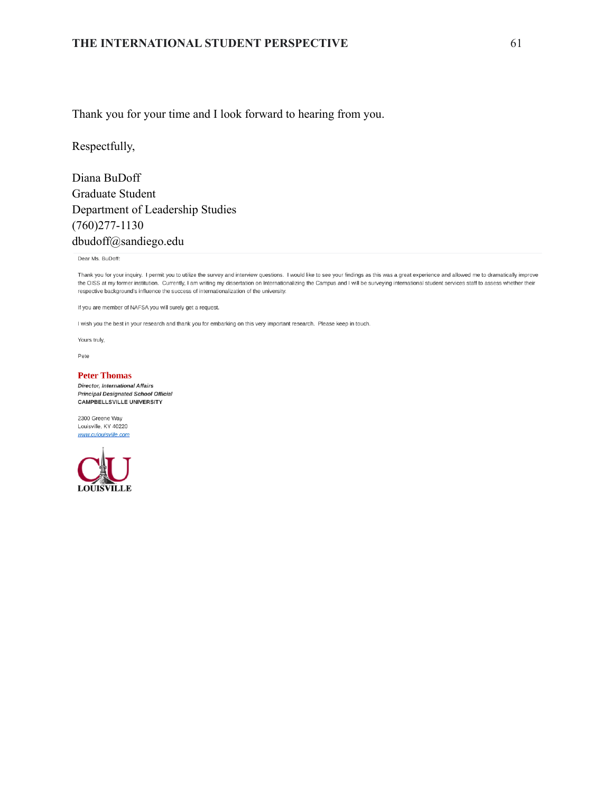#### **THE INTERNATIONAL STUDENT PERSPECTIVE** 61

Thank you for your time and I look forward to hearing from you.

Respectfully,

Diana BuDoff Graduate Student Department of Leadership Studies (760)277-1130 dbudoff@sandiego.edu

Dear Ms. BuDoff:

Thank you for your inquiry. I permit you to utilize the survey and interview questions. I would like to see your findings as this was a great experience and allowed me to dramatically improve the OISS at my former institution. Currently, I am writing my dissertation on Internationalizing the Campus and I will be surveying international student services staff to assess whether their respective background's influence the success of internationalization of the university.

If you are member of NAFSA you will surely get a request.

I wish you the best in your research and thank you for embarking on this very important research. Please keep in touch.

Yours truly,

Pete

#### **Peter Thomas**

Director, International Affairs **Principal Designated School Official** CAMPBELLSVILLE UNIVERSITY

2300 Greene Way Louisville, KY 40220 www.culouisville.com

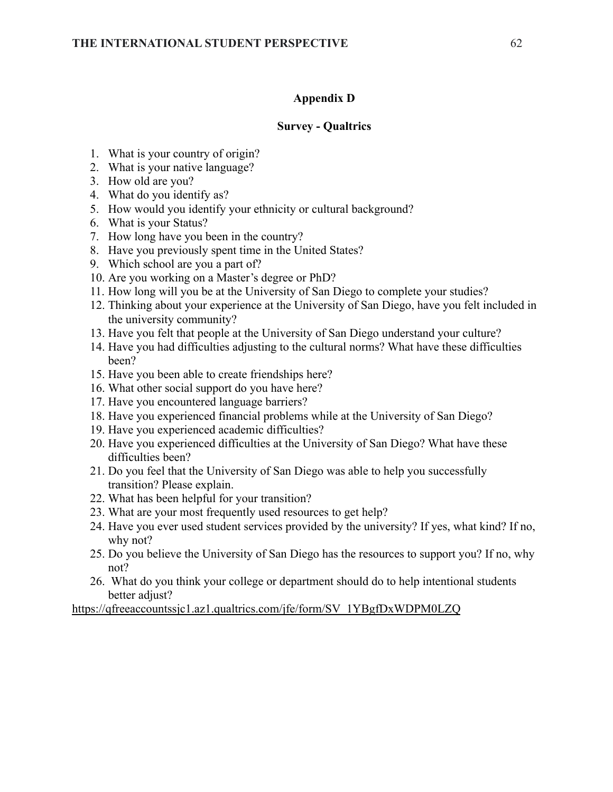# **Appendix D**

# **Survey - Qualtrics**

- 1. What is your country of origin?
- 2. What is your native language?
- 3. How old are you?
- 4. What do you identify as?
- 5. How would you identify your ethnicity or cultural background?
- 6. What is your Status?
- 7. How long have you been in the country?
- 8. Have you previously spent time in the United States?
- 9. Which school are you a part of?
- 10. Are you working on a Master's degree or PhD?
- 11. How long will you be at the University of San Diego to complete your studies?
- 12. Thinking about your experience at the University of San Diego, have you felt included in the university community?
- 13. Have you felt that people at the University of San Diego understand your culture?
- 14. Have you had difficulties adjusting to the cultural norms? What have these difficulties been?
- 15. Have you been able to create friendships here?
- 16. What other social support do you have here?
- 17. Have you encountered language barriers?
- 18. Have you experienced financial problems while at the University of San Diego?
- 19. Have you experienced academic difficulties?
- 20. Have you experienced difficulties at the University of San Diego? What have these difficulties been?
- 21. Do you feel that the University of San Diego was able to help you successfully transition? Please explain.
- 22. What has been helpful for your transition?
- 23. What are your most frequently used resources to get help?
- 24. Have you ever used student services provided by the university? If yes, what kind? If no, why not?
- 25. Do you believe the University of San Diego has the resources to support you? If no, why not?
- 26. What do you think your college or department should do to help intentional students better adjust?

[https://qfreeaccountssjc1.az1.qualtrics.com/jfe/form/SV\\_1YBgfDxWDPM0LZQ](https://qfreeaccountssjc1.az1.qualtrics.com/jfe/form/SV_1YBgfDxWDPM0LZQ)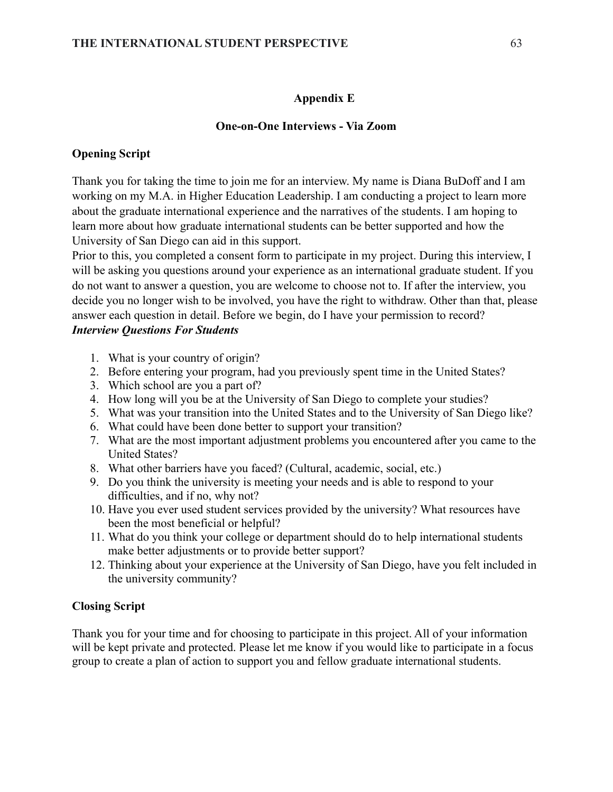### **Appendix E**

#### **One-on-One Interviews - Via Zoom**

### **Opening Script**

Thank you for taking the time to join me for an interview. My name is Diana BuDoff and I am working on my M.A. in Higher Education Leadership. I am conducting a project to learn more about the graduate international experience and the narratives of the students. I am hoping to learn more about how graduate international students can be better supported and how the University of San Diego can aid in this support.

Prior to this, you completed a consent form to participate in my project. During this interview, I will be asking you questions around your experience as an international graduate student. If you do not want to answer a question, you are welcome to choose not to. If after the interview, you decide you no longer wish to be involved, you have the right to withdraw. Other than that, please answer each question in detail. Before we begin, do I have your permission to record? *Interview Questions For Students*

- 1. What is your country of origin?
- 2. Before entering your program, had you previously spent time in the United States?
- 3. Which school are you a part of?
- 4. How long will you be at the University of San Diego to complete your studies?
- 5. What was your transition into the United States and to the University of San Diego like?
- 6. What could have been done better to support your transition?
- 7. What are the most important adjustment problems you encountered after you came to the United States?
- 8. What other barriers have you faced? (Cultural, academic, social, etc.)
- 9. Do you think the university is meeting your needs and is able to respond to your difficulties, and if no, why not?
- 10. Have you ever used student services provided by the university? What resources have been the most beneficial or helpful?
- 11. What do you think your college or department should do to help international students make better adjustments or to provide better support?
- 12. Thinking about your experience at the University of San Diego, have you felt included in the university community?

### **Closing Script**

Thank you for your time and for choosing to participate in this project. All of your information will be kept private and protected. Please let me know if you would like to participate in a focus group to create a plan of action to support you and fellow graduate international students.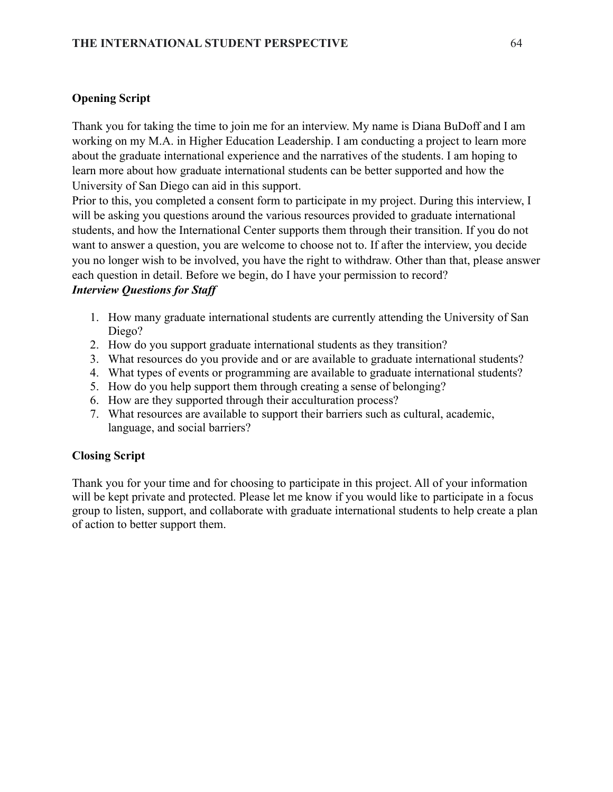# **Opening Script**

Thank you for taking the time to join me for an interview. My name is Diana BuDoff and I am working on my M.A. in Higher Education Leadership. I am conducting a project to learn more about the graduate international experience and the narratives of the students. I am hoping to learn more about how graduate international students can be better supported and how the University of San Diego can aid in this support.

Prior to this, you completed a consent form to participate in my project. During this interview, I will be asking you questions around the various resources provided to graduate international students, and how the International Center supports them through their transition. If you do not want to answer a question, you are welcome to choose not to. If after the interview, you decide you no longer wish to be involved, you have the right to withdraw. Other than that, please answer each question in detail. Before we begin, do I have your permission to record?

# *Interview Questions for Staff*

- 1. How many graduate international students are currently attending the University of San Diego?
- 2. How do you support graduate international students as they transition?
- 3. What resources do you provide and or are available to graduate international students?
- 4. What types of events or programming are available to graduate international students?
- 5. How do you help support them through creating a sense of belonging?
- 6. How are they supported through their acculturation process?
- 7. What resources are available to support their barriers such as cultural, academic, language, and social barriers?

# **Closing Script**

Thank you for your time and for choosing to participate in this project. All of your information will be kept private and protected. Please let me know if you would like to participate in a focus group to listen, support, and collaborate with graduate international students to help create a plan of action to better support them.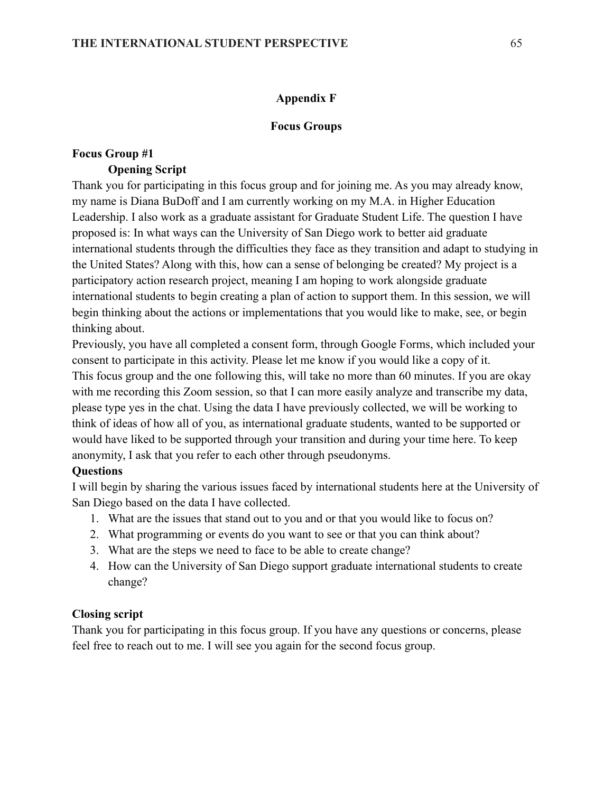# **Appendix F**

### **Focus Groups**

# **Focus Group #1 Opening Script**

Thank you for participating in this focus group and for joining me. As you may already know, my name is Diana BuDoff and I am currently working on my M.A. in Higher Education Leadership. I also work as a graduate assistant for Graduate Student Life. The question I have proposed is: In what ways can the University of San Diego work to better aid graduate international students through the difficulties they face as they transition and adapt to studying in the United States? Along with this, how can a sense of belonging be created? My project is a participatory action research project, meaning I am hoping to work alongside graduate international students to begin creating a plan of action to support them. In this session, we will begin thinking about the actions or implementations that you would like to make, see, or begin thinking about.

Previously, you have all completed a consent form, through Google Forms, which included your consent to participate in this activity. Please let me know if you would like a copy of it. This focus group and the one following this, will take no more than 60 minutes. If you are okay with me recording this Zoom session, so that I can more easily analyze and transcribe my data, please type yes in the chat. Using the data I have previously collected, we will be working to think of ideas of how all of you, as international graduate students, wanted to be supported or would have liked to be supported through your transition and during your time here. To keep anonymity, I ask that you refer to each other through pseudonyms.

# **Questions**

I will begin by sharing the various issues faced by international students here at the University of San Diego based on the data I have collected.

- 1. What are the issues that stand out to you and or that you would like to focus on?
- 2. What programming or events do you want to see or that you can think about?
- 3. What are the steps we need to face to be able to create change?
- 4. How can the University of San Diego support graduate international students to create change?

# **Closing script**

Thank you for participating in this focus group. If you have any questions or concerns, please feel free to reach out to me. I will see you again for the second focus group.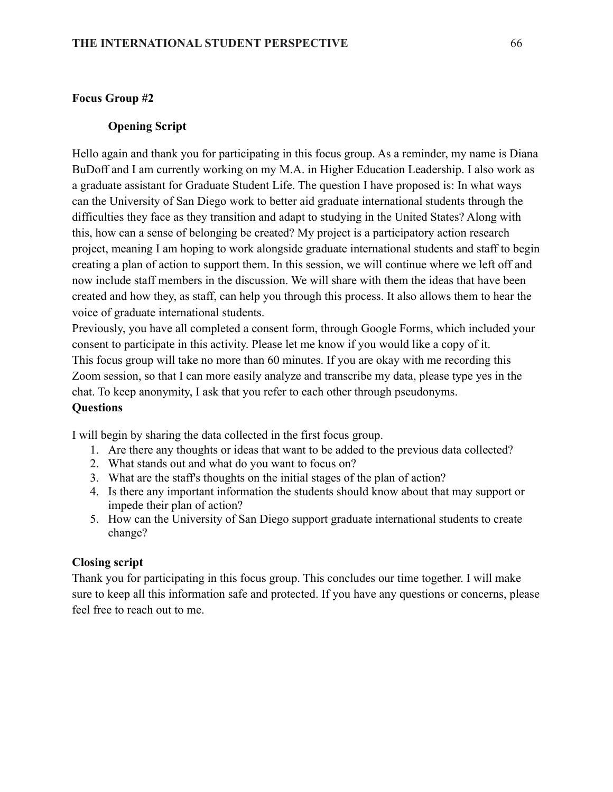# **Focus Group #2**

#### **Opening Script**

Hello again and thank you for participating in this focus group. As a reminder, my name is Diana BuDoff and I am currently working on my M.A. in Higher Education Leadership. I also work as a graduate assistant for Graduate Student Life. The question I have proposed is: In what ways can the University of San Diego work to better aid graduate international students through the difficulties they face as they transition and adapt to studying in the United States? Along with this, how can a sense of belonging be created? My project is a participatory action research project, meaning I am hoping to work alongside graduate international students and staff to begin creating a plan of action to support them. In this session, we will continue where we left off and now include staff members in the discussion. We will share with them the ideas that have been created and how they, as staff, can help you through this process. It also allows them to hear the voice of graduate international students.

Previously, you have all completed a consent form, through Google Forms, which included your consent to participate in this activity. Please let me know if you would like a copy of it. This focus group will take no more than 60 minutes. If you are okay with me recording this Zoom session, so that I can more easily analyze and transcribe my data, please type yes in the chat. To keep anonymity, I ask that you refer to each other through pseudonyms.

### **Questions**

I will begin by sharing the data collected in the first focus group.

- 1. Are there any thoughts or ideas that want to be added to the previous data collected?
- 2. What stands out and what do you want to focus on?
- 3. What are the staff's thoughts on the initial stages of the plan of action?
- 4. Is there any important information the students should know about that may support or impede their plan of action?
- 5. How can the University of San Diego support graduate international students to create change?

### **Closing script**

Thank you for participating in this focus group. This concludes our time together. I will make sure to keep all this information safe and protected. If you have any questions or concerns, please feel free to reach out to me.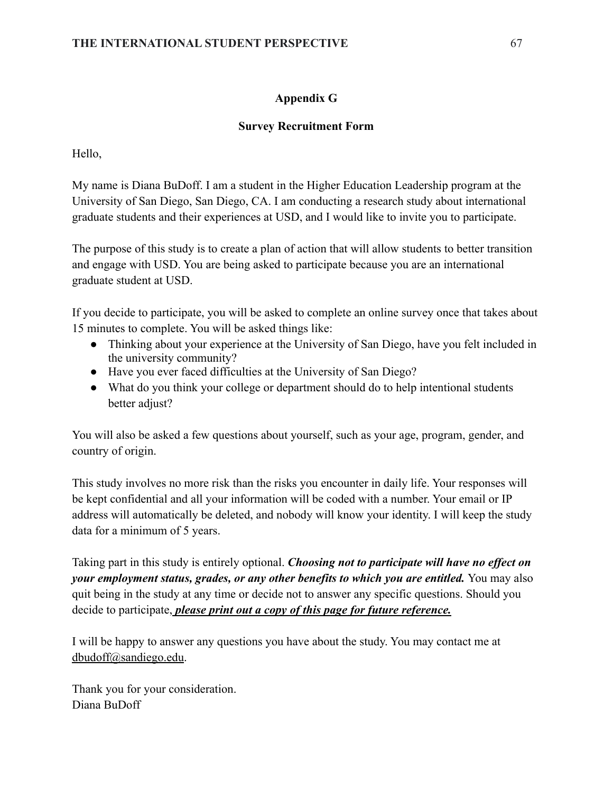# **Appendix G**

# **Survey Recruitment Form**

Hello,

My name is Diana BuDoff. I am a student in the Higher Education Leadership program at the University of San Diego, San Diego, CA. I am conducting a research study about international graduate students and their experiences at USD, and I would like to invite you to participate.

The purpose of this study is to create a plan of action that will allow students to better transition and engage with USD. You are being asked to participate because you are an international graduate student at USD.

If you decide to participate, you will be asked to complete an online survey once that takes about 15 minutes to complete. You will be asked things like:

- Thinking about your experience at the University of San Diego, have you felt included in the university community?
- Have you ever faced difficulties at the University of San Diego?
- What do you think your college or department should do to help intentional students better adjust?

You will also be asked a few questions about yourself, such as your age, program, gender, and country of origin.

This study involves no more risk than the risks you encounter in daily life. Your responses will be kept confidential and all your information will be coded with a number. Your email or IP address will automatically be deleted, and nobody will know your identity. I will keep the study data for a minimum of 5 years.

Taking part in this study is entirely optional. *Choosing not to participate will have no effect on your employment status, grades, or any other benefits to which you are entitled.* You may also quit being in the study at any time or decide not to answer any specific questions. Should you decide to participate, *please print out a copy of this page for future reference.*

I will be happy to answer any questions you have about the study. You may contact me at [dbudoff@sandiego.edu.](mailto:dbudoff@sandiego.edu)

Thank you for your consideration. Diana BuDoff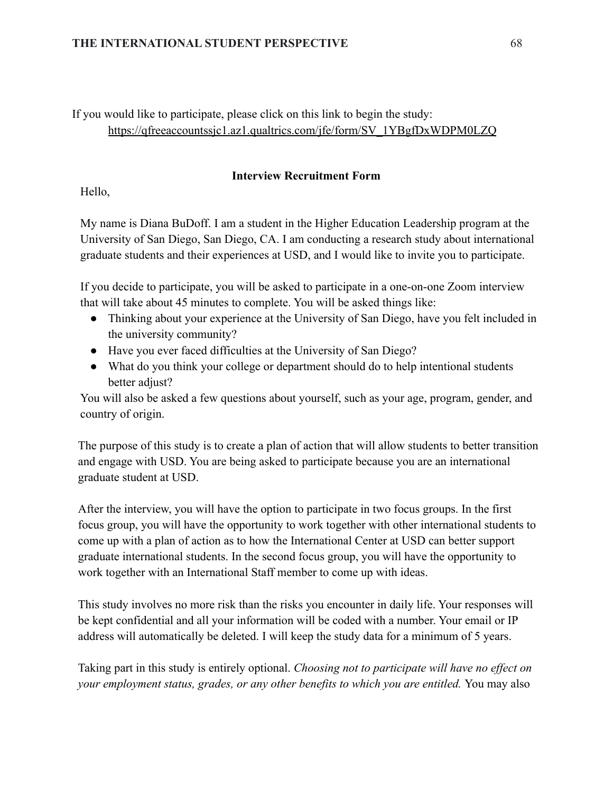### **THE INTERNATIONAL STUDENT PERSPECTIVE** 68

If you would like to participate, please click on this link to begin the study: [https://qfreeaccountssjc1.az1.qualtrics.com/jfe/form/SV\\_1YBgfDxWDPM0LZQ](https://qfreeaccountssjc1.az1.qualtrics.com/jfe/form/SV_1YBgfDxWDPM0LZQ)

### **Interview Recruitment Form**

Hello,

My name is Diana BuDoff. I am a student in the Higher Education Leadership program at the University of San Diego, San Diego, CA. I am conducting a research study about international graduate students and their experiences at USD, and I would like to invite you to participate.

If you decide to participate, you will be asked to participate in a one-on-one Zoom interview that will take about 45 minutes to complete. You will be asked things like:

- Thinking about your experience at the University of San Diego, have you felt included in the university community?
- Have you ever faced difficulties at the University of San Diego?
- What do you think your college or department should do to help intentional students better adjust?

You will also be asked a few questions about yourself, such as your age, program, gender, and country of origin.

The purpose of this study is to create a plan of action that will allow students to better transition and engage with USD. You are being asked to participate because you are an international graduate student at USD.

After the interview, you will have the option to participate in two focus groups. In the first focus group, you will have the opportunity to work together with other international students to come up with a plan of action as to how the International Center at USD can better support graduate international students. In the second focus group, you will have the opportunity to work together with an International Staff member to come up with ideas.

This study involves no more risk than the risks you encounter in daily life. Your responses will be kept confidential and all your information will be coded with a number. Your email or IP address will automatically be deleted. I will keep the study data for a minimum of 5 years.

Taking part in this study is entirely optional. *Choosing not to participate will have no effect on your employment status, grades, or any other benefits to which you are entitled.* You may also